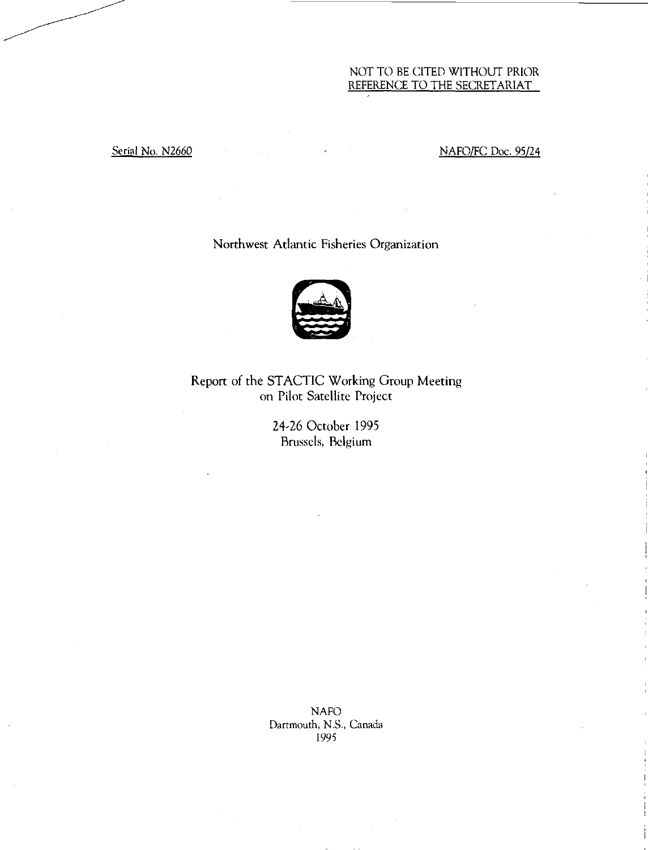# NOT TO BE CITED WITHOUT PRIOR REFERENCE TO THE SECRETARIAT

# Serial No. N2660 NAFO/FC Doc. 95/24

# Northwest Atlantic Fisheries Organization



Report of the STACTIC Working Group Meeting on Pilot Satellite Project

> 24-26 October 1995 Brussels, Belgium

NAFO Dartmouth, N.S., Canada 1995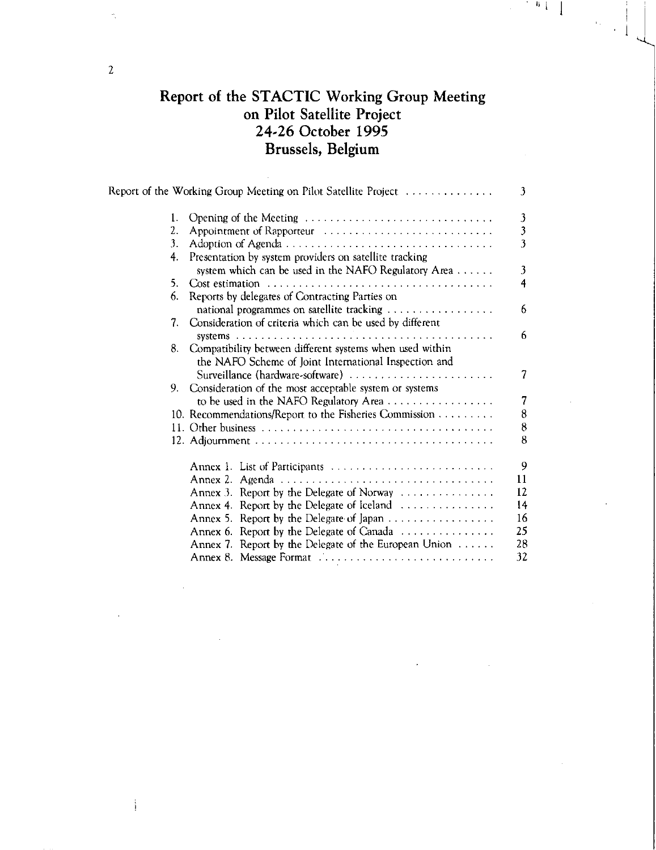# Report of the STACTIC Working Group Meeting on Pilot Satellite Project 24-26 October 1995 Brussels, Belgium

 $\begin{bmatrix} 0 & 1 \\ 0 & 1 \end{bmatrix}$ 

|    | Report of the Working Group Meeting on Pilot Satellite Project                                                       | 3                       |
|----|----------------------------------------------------------------------------------------------------------------------|-------------------------|
| 1. | Opening of the Meeting                                                                                               |                         |
| 2. |                                                                                                                      | $\frac{3}{3}$           |
| 3. |                                                                                                                      | $\overline{\mathbf{3}}$ |
| 4. | Presentation by system providers on satellite tracking<br>system which can be used in the NAFO Regulatory Area       | 3                       |
| 5. |                                                                                                                      | 4                       |
| 6. | Reports by delegates of Contracting Parties on                                                                       |                         |
| 7. | Consideration of criteria which can be used by different                                                             | 6                       |
|    |                                                                                                                      | 6                       |
|    | 8. Compatibility between different systems when used within<br>the NAFO Scheme of Joint International Inspection and |                         |
|    | Surveillance (hardware-software)                                                                                     | 7                       |
|    | 9. Consideration of the most acceptable system or systems                                                            |                         |
|    |                                                                                                                      | 7                       |
|    | 10. Recommendations/Report to the Fisheries Commission                                                               | 8                       |
|    |                                                                                                                      | $\bf 8$                 |
|    |                                                                                                                      | 8                       |
|    | Annex 1. List of Participants                                                                                        | 9                       |
|    |                                                                                                                      | 11                      |
|    | Annex 3. Report by the Delegate of Norway                                                                            | 12                      |
|    | Annex 4. Report by the Delegate of Iceland $\dots \dots \dots \dots$                                                 | 14                      |
|    | Annex 5. Report by the Delegate of Japan                                                                             | 16                      |
|    | Annex 6. Report by the Delegate of Canada                                                                            | 25                      |
|    | Annex 7. Report by the Delegate of the European Union $\dots \dots$                                                  | 28                      |
|    | Annex 8. Message Format                                                                                              | 32                      |

2

 $\frac{1}{4}$ 

š,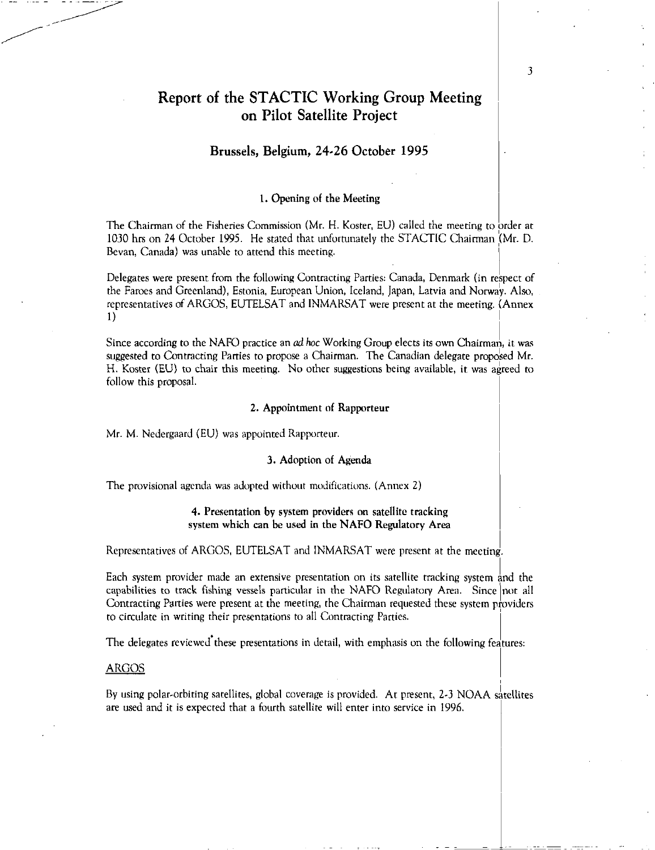# Report of the STACTIC Working Group Meeting on Pilot Satellite Project

# Brussels, Belgium, 24-26 October 1995

# 1. Opening of the Meeting

The Chairman of the Fisheries Commission (Mr. H. Koster, EU) called the meeting to order at 1030 hrs on 24 October 1995. He stated that unfortunately the STACTIC Chairman Mr. D. Bevan, Canada) was unable to attend this meeting.

Delegates were present from the following Contracting Parties: Canada, Denmark (in respect of the Faroes and Greenland), Estonia, European Union, Iceland, Japan, Latvia and Norway. Also, representatives of ARGOS, EUTELSAT and INMARSAT were present at the meeting. (Annex 1)

Since according to the NAFO practice an *ad hoc* Working Group elects its own Chairman, it was suggested to Contracting Parties to propose a Chairman. The Canadian delegate proposed Mr. H. Koster (EU) to chair this meeting. No other suggestions being available, it was agreed to follow this proposal.

#### 2. Appointment of Rapporteur

Mr. M. Nedergaard (EU) was appointed Rapporteur.

# 3. Adoption of Agenda

The provisional agenda was adopted without modifications. (Annex 2)

# **4.** Presentation by system providers on satellite tracking system which can be used in the NAFO Regulatory Area

Representatives of ARGOS, EUTELSAT and INMARSAT were present at the meeting.

Each system provider made an extensive presentation on its satellite tracking system and the capabilities to track fishing vessels particular in the NAFO Regulatory Area. Since not all Contracting Parties were present at the meeting, the Chairman requested these system providers to circulate in writing their presentations to all Contracting Parties.

The delegates reviewed these presentations in detail, with emphasis on the following features:

#### ARGOS

By using polar-orbiting satellites, global coverage is provided. At present, 2.3 NOAA satellites are used and it is expected that a fourth satellite will enter into service in 1996.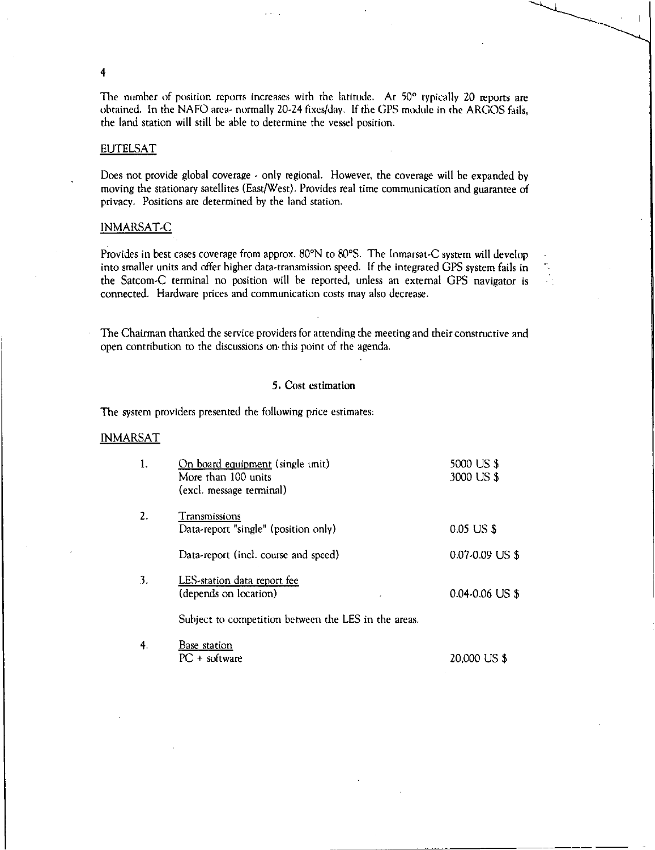The number of position reports increases with the latitude. At 50° typically 20 reports are obtained. In the NAFO area- normally 20-24 fixes/day. If the UPS module in the ARGOS fails, the land station will still be able to determine the vessel position.

# **EUTELSAT**

4

Does not provide global coverage - only regional. However, the coverage will be expanded by moving the stationary satellites (East/West). Provides real time communication and guarantee of privacy. Positions are determined by the land station.

# INMARSAT-C

Provides in best cases coverage from approx. 80°N to 80°S. The Inmarsat-C system will develop into smaller units and offer higher data-transmission speed. If the integrated GPS system fails in the Satcom-C terminal no position will be reported, unless an external GPS navigator is connected. Hardware prices and communication costs may also decrease.

The Chairman thanked the service providers for attending the meeting and their constructive and open contribution to the discussions on this point of the agenda.

# 5. Cost estimation

The system providers presented the following price estimates:

# **INMARSAT**

|    | On board equipment (single unit)<br>More than 100 units<br>(excl. message terminal) | 5000 US \$<br>3000 US \$ |
|----|-------------------------------------------------------------------------------------|--------------------------|
| 2. | Transmissions<br>Data-report "single" (position only)                               | 0.05 US \$               |
|    | Data-report (incl. course and speed)                                                | 0.07-0.09 US \$          |
| 3. | LES-station data report fee<br>(depends on location)                                | $0.04 - 0.06$ US \$      |
|    | Subject to competition between the LES in the areas.                                |                          |
|    | Base station                                                                        |                          |

PC + software 20,000 US \$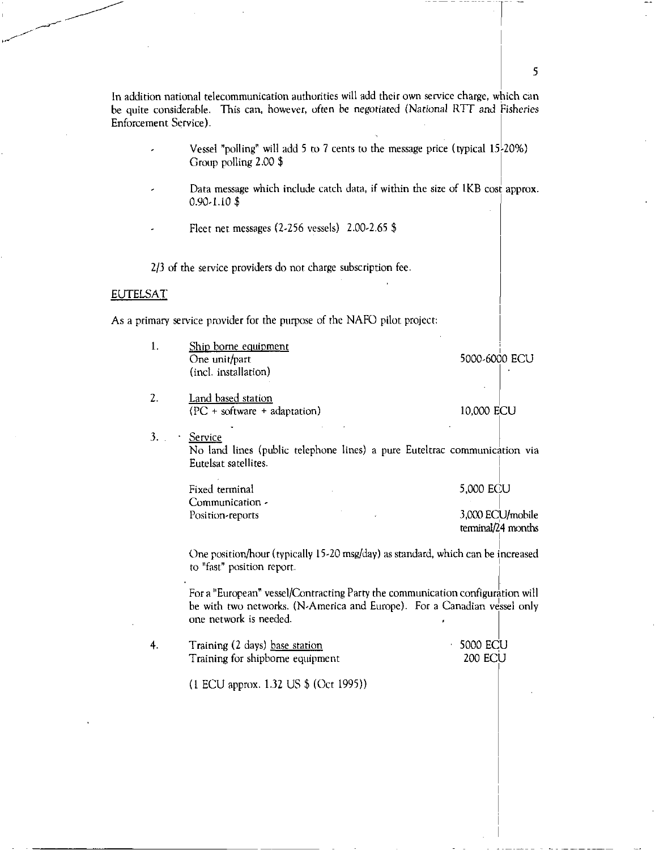In addition national telecommunication authorities will add their own service charge, which can be quite considerable. This can, however, often be negotiated (National RTT and Fisheries Enforcement Service).

- Vessel "polling" will add 5 to 7 cents to the message price (typical 15.20%) Group polling 2.00 \$
- Data message which include catch data, if within the size of 1KB cost approx. 0.90-1.10 \$
- Fleet net messages (2.256 vessels) 2.00-2.65 \$

2/3 of the service providers do not charge subscription fee.

#### **EUTELSAT**

As a primary service provider for the purpose of the NAFO pilot project:

1. Ship borne equipment 5000-6000 ECU One unit/part (incl. installation) 2. Land based station (PC + software + adaptation) 10,000 ECU  $3.$  $\ddot{\phantom{1}}$ Service No land lines (public telephone lines) a pure Euteltrac communication via Eutelsat satellites. Fixed terminal 5,000 ECU Communication - Position-reports 3,000 ECU/mobile terminal/4 months One position/hour (typically 15-20 msg/day) as standard, which can be increased to "fast" position report. For a "European" vessel/Contracting Party the communication configuration will be with two networks. (N-America and Europe). For a Canadian vessel only one network is needed. 4. Training (2 days) base station • 5000 ECU 200 ECU Training for shipbome equipment (1 ECU approx. 1.32 US \$ (Oct 1995))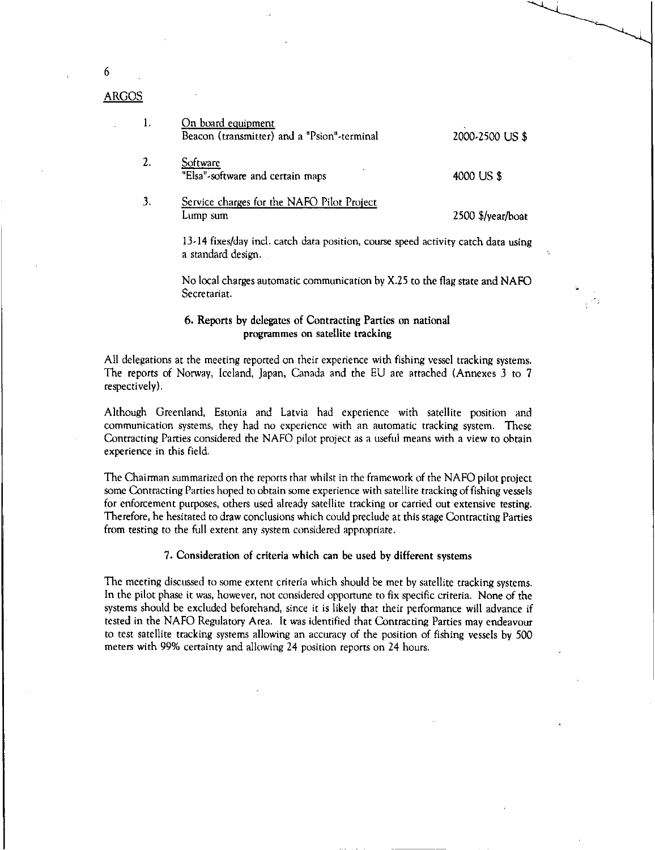| 1. | On board equipment<br>Beacon (transmitter) and a "Psion"-terminal | 2000-2500 US \$                 |
|----|-------------------------------------------------------------------|---------------------------------|
|    | Software<br>"Elsa"-software and certain maps                      | 4000 US \$                      |
| 3. | Service charges for the NAFO Pilot Project<br>Lump sum            | $2500$ $\frac{1}{2}$ /year/boat |

6

ARGOS

13.14 fixes/day incl. catch data position, course speed activity catch data using a standard design.

No local charges automatic communication by X.25 to the flag state and NAFO Secretariat.

# 6. Reports by delegates of Contracting Parties on national programmes on satellite tracking

All delegations at the meeting reported on their experience with fishing vessel tracking systems. The reports of Norway, Iceland, Japan, Canada and the EU are attached (Annexes 3 to 7 respectively).

Although Greenland, Estonia and Latvia had experience with satellite position and communication systems, they had no experience with an automatic tracking system. These Contracting Parties considered the NAFO pilot project as a useful means with a view to obtain experience in this field.

The Chairman summarized on the reports that whilst in the framework of the NAFO pilot project some Contracting Parties hoped to obtain some experience with satellite tracking of fishing vessels for enforcement purposes, others used already satellite tracking or carried out extensive testing. Therefore, he hesitated to draw conclusions which could preclude at this stage Contracting Parties from testing to the full extent any system considered appropriate.

7. Consideration of criteria which can be used by different systems

The meeting discussed to some extent criteria which should be met by satellite tracking systems. In the pilot phase it was, however, not considered opportune to fix specific criteria. None of the systems should be excluded beforehand, since it is likely that their performance will advance if tested in the NAFO Regulatory Area. It was identified that Contracting Parties may endeavour to test satellite tracking systems allowing an accuracy of the position of fishing vessels by 500 meters with 99% certainty and allowing 24 position reports on 24 hours.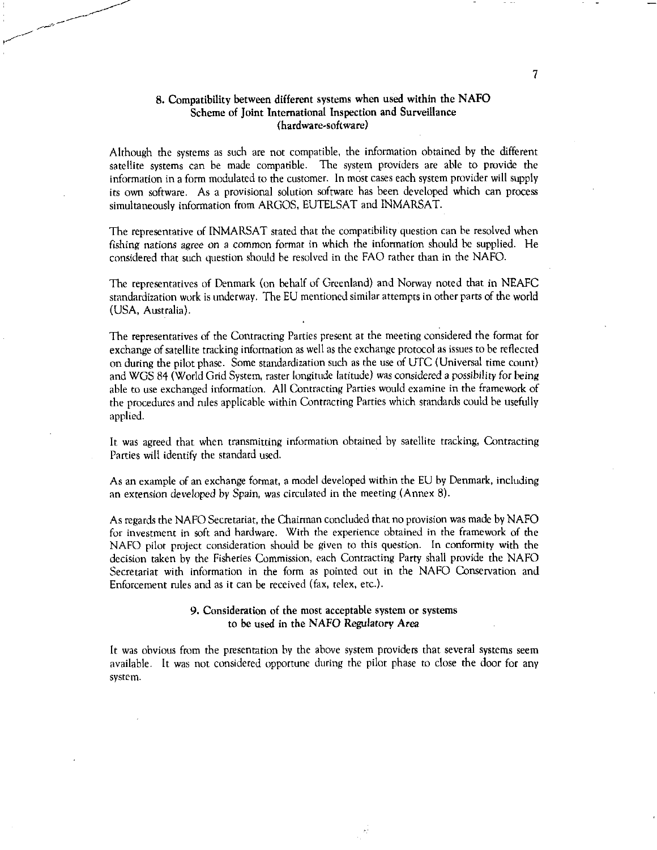# **8. Compatibility between different systems when used within the NAFO Scheme of Joint International Inspection and Surveillance (hardware-software)**

Although the systems as such are not compatible, the information obtained by the different satellite systems can be made compatible. The system providers are able to provide the information in a form modulated to the customer. In most cases each system provider will supply its own software. As a provisional solution software has been developed which can process simultaneously information from ARGOS, EUTELSAT and INMARSAT.

The representative of INMARSAT stated that the compatibility question can be resolved when fishing nations *agree* on a common format in which the information should be supplied. He considered that such question should be resolved in the FAO rather than in the NAFO.

The representatives of Denmark (on behalf of Greenland) and Norway noted that in NEAFC standardization work is underway. The EU mentioned similar attempts in other parts of the world (USA, Australia).

The representatives of the Contracting Parties present at the meeting considered the format for exchange of satellite tracking information as well as the exchange protocol as issues to be reflected on during the pilot phase. Some standardization such as the use of UTC (Universal time count) and WGS 84 (World Grid System, raster longitude latitude) was *considered a possibility* for being able to use exchanged information. All Contracting Parties would examine in the framework of the procedures and rules applicable within Contracting Parties which standards could be usefully applied.

It was agreed that when transmitting information obtained by satellite tracking, Contracting Parties will identify the standard used.

As an example of an exchange format, a model developed within the EU by Denmark, including an extension developed by Spain, was circulated in the meeting (Annex 8).

As regards the NAFO Secretariat, the Chairman concluded that no provision was made by NAFO for investment in soft and hardware. With the experience obtained in the framework of the NAFO pilot project consideration should be given to this question. In conformity with the decision taken by the Fisheries Commission, each Contracting Party shall provide the NAFO Secretariat with information in the form as pointed out in the NAFO Conservation and Enforcement rules and as it can be received (fax, telex, etc.).

# 9. **Consideration of the most acceptable system or systems to be used in the NAFO Regulatory Area**

It was obvious from the presentation by the above system providers that several systems seem available. It was not considered opportune during the pilot phase to close the door for any system.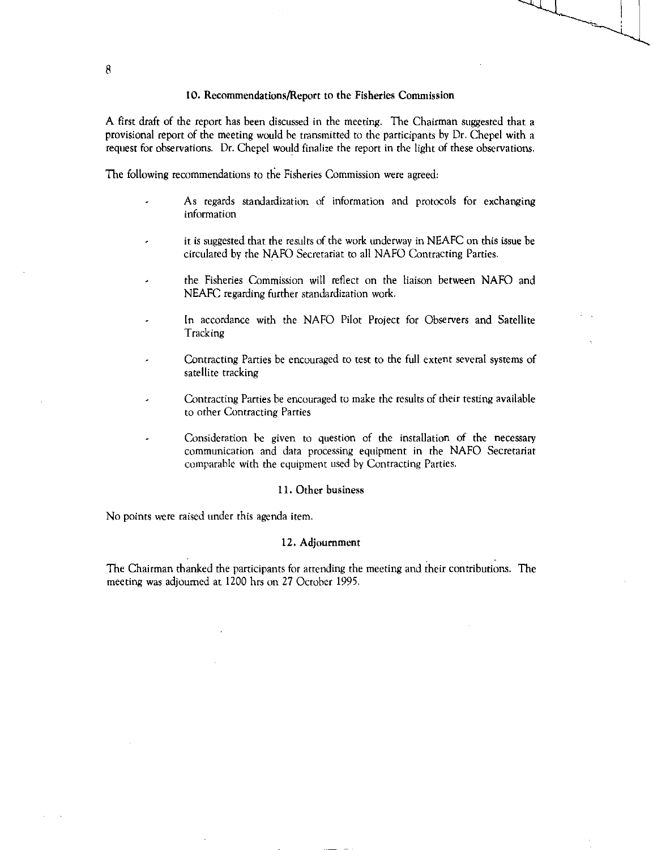# 10. Recommendations/Report to the Fisheries Commission

A first draft of the report has been discussed in the meeting. The Chairman suggested that a provisional report of the meeting would be transmitted to the participants by Dr. Chepel with a request for observations. Dr. Chepel would finalize the report in the light of these observations.

The following recommendations to the Fisheries Commission were agreed:

- As regards standardization of information and protocols for exchanging information
- it is suggested that the results of the work underway in NEAFC on this issue be circulated by the NAFO Secretariat to all NAFO Contracting Parties.
- the Fisheries Commission will reflect on the liaison between NAFO and NEAFC regarding further standardization work.
- In accordance with the NAFO Pilot Project for Observers and Satellite Tracking
- Contracting Parties be encouraged to test to the full extent several systems of satellite tracking
- Contracting Parties be encouraged to make the results of their testing available to other Contracting Parties
- Consideration he given to question of the installation of the necessary communication and data processing equipment in the NAFO Secretariat comparable with the equipment used by Contracting Parties.

# 11.Other business

No points were raised under this agenda item.

#### 12.Adjournment

The Chairman thanked the participants for attending the meeting and their contributions. The meeting was adjourned at 1200 hrs on 27 October 1995.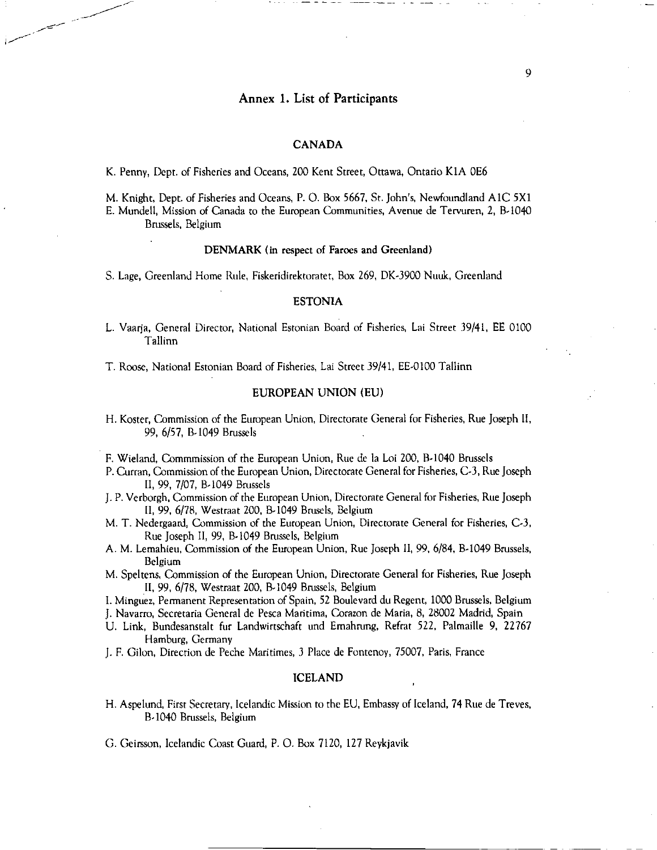# Annex 1. List of Participants

# CANADA

K. Penny, Dept. of Fisheries and Oceans, 200 Kent Street, Ottawa, Ontario K1A 0E6

M. Knight, Dept. of Fisheries and Oceans, P. 0. Box 5667, St. John's, Newfoundland A1C 5X1 E. Mundell, Mission of Canada to the European Communities, Avenue de Tervuren, 2, B-1040 Brussels, Belgium

#### DENMARK (in respect of Faroes and Greenland)

S. Lage, Greenland Home Rule, Fiskeridirektoratet, Box 269, DK-3900 Nuuk, Greenland

# ESTONIA

L. Vaarja, General Director, National Estonian Board of Fisheries, Lai Street 39/41, EE 0100 Tallinn

T. Roose, National Estonian Board of Fisheries, Lai Street 39/41, EE-0100 Tallinn

# EUROPEAN UNION (EU)

- H. Koster, Commission of the European Union, Directorate General for Fisheries, Rue Joseph II, 99, 6/57, B-1049 Brussels
- F. Wieland, Commmission of the European Union, Rue de la Loi 200, B-1040 Brussels
- P. Curran, Commission of the European Union, Directorate General for Fisheries, C-3, Rue Joseph II, 99, 7/07, B-1049 Brussels
- J. P. Verborgh, Commission of the European Union, Directorate General for Fisheries, Rue Joseph 11, 99, 6/78, Westraat 200, B-1049 Brusels, Belgium
- M. T. Nedergaard, Commission of the European Union, Directorate General for Fisheries, C-3, Rue Joseph II, 99, B-1049 Brussels, Belgium
- A. M. Lemahieu, Commission of the European Union, Rue Joseph II, 99, 6/84, B-1049 Brussels, Belgium
- M. Speltens, Commission of the European Union, Directorate General for Fisheries, Rue Joseph 99, 6/78, Westraat 200, B-1049 Brussels, Belgium

I. Minguez, Permanent Representation of Spain, 52 Boulevard du Regent, 1000 Brussels, Belgium

J. Navarro, Secretaria General de Pesca Maritima, Corazon de Maria, 8, 28002 Madrid, Spain

- U. Link, Bundesanstalt fur Landwirtschaft and Emahrung, Refrat 522, Palmaille 9, 22767 Hamburg, Germany
- J. F. Gilon, Direction de Peche Maritimes, 3 Place de Fontenoy, 75007, Paris, France

#### ICELAND

H. Aspelund, First Secretary, Icelandic Mission to the EU, Embassy of Iceland, 74 Rue de Treves, B-1040 Brussels, Belgium

G. Geirsson, Icelandic Coast Guard, P. 0. Box 7120, 127 Reykjavik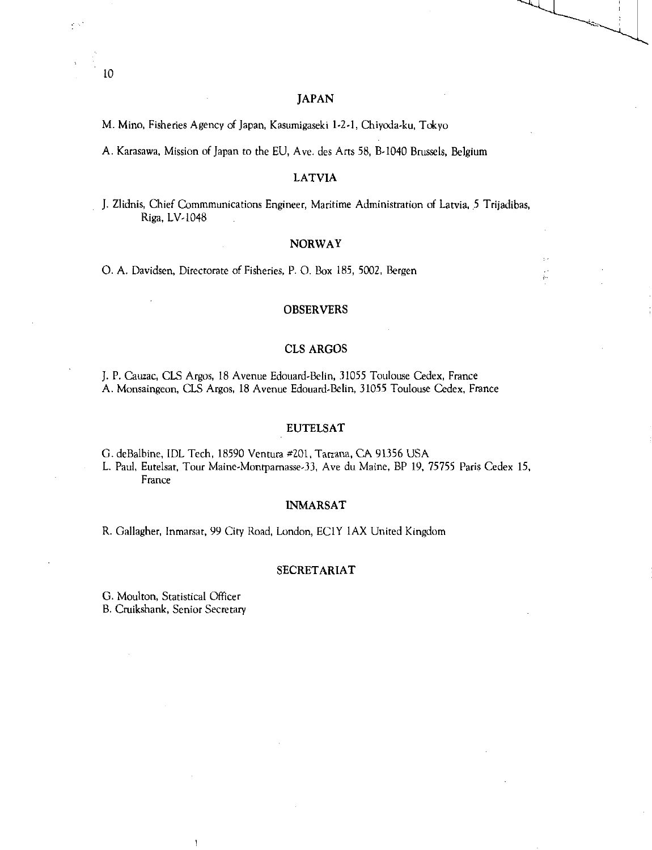# JAPAN

M. Mino, Fisheries Agency of Japan, Kasumigaseki 1-2-1, Chiyoda-ku, Tokyo

A. Karasawa, Mission of Japan to the EU, Ave. des Arts 58, B-1040 Brussels, Belgium

# LATVIA

J. Zlidnis, Chief Commmunications Engineer, Maritime Administration of Latvia, 5 Trijadibas, Riga, LV-1048

# NORWAY

0. A. Davidsen, Directorate of Fisheries, P. 0. Box 185, 5002, Bergen

# OBSERVERS

# CLS ARGOS

J. P. Cauzac, CLS Argos, 18 Avenue Edouard-Belin, 31055 Toulouse Cedex, France A. Monsaingeon, CLS Argos, 18 Avenue Edouard-Belin, 31055 Toulouse Cedex, France

# EUTELSAT

G. deBalbine, 1DL Tech, 18590 Ventura #201, Tarzana, CA 91356 USA

L. Paul, Eutelsat, Tour Maine-Montparnasse-33, Ave du Maine, BP 19, 75755 Paris Cedex 15, France

# INMARSAT

R. Gallagher, Inmarsat, 99 City Road, London, ECIY 1AX United Kingdom

# SECRETARIAT

G. Moulton, Statistical Officer B. Cruikshank, Senior Secretary

 $\overline{1}$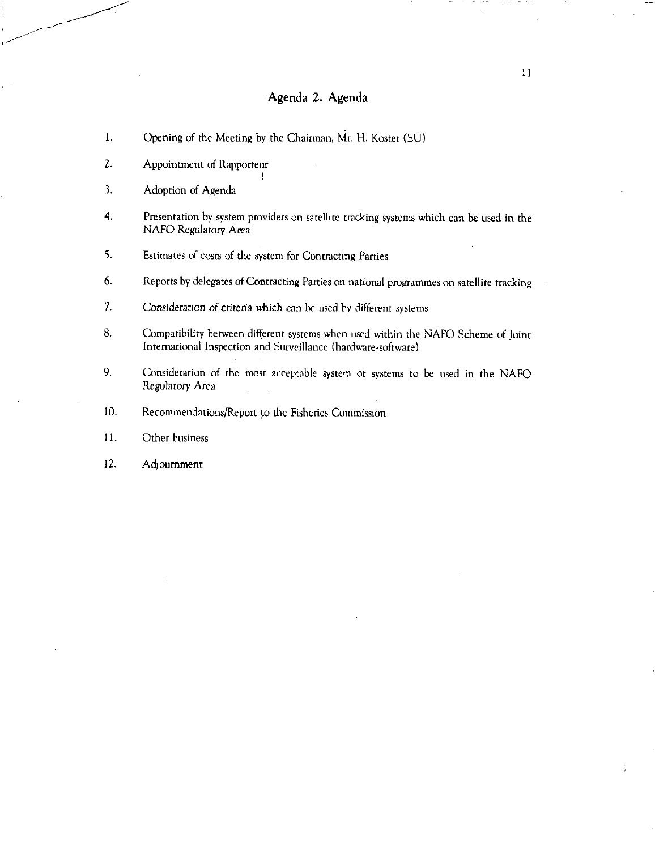# Agenda 2. Agenda

- 1. Opening of the Meeting by the Chairman, Mr. H. Koster (EU)
- 2. Appointment of Rapporteur
- 3. Adoption of Agenda
- 4. Presentation by system providers on satellite tracking systems which can be used in the NAFO Regulatory *Area*
- 5. Estimates of costs of the system for Contracting Parties
- 6. Reports by delegates of Contracting Parties on national programmes on satellite tracking
- 7. Consideration *of criteria* which can be used by different systems
- 8. Compatibility between different systems when used within the NAFO Scheme of Joint International Inspection and Surveillance (hardware-software)
- 9. Consideration of the most acceptable system or systems to be used in the NAFO Regulatory Area
- 10. Recommendations/Report to the Fisheries Commission
- 11. Other business
- 12. Adjournment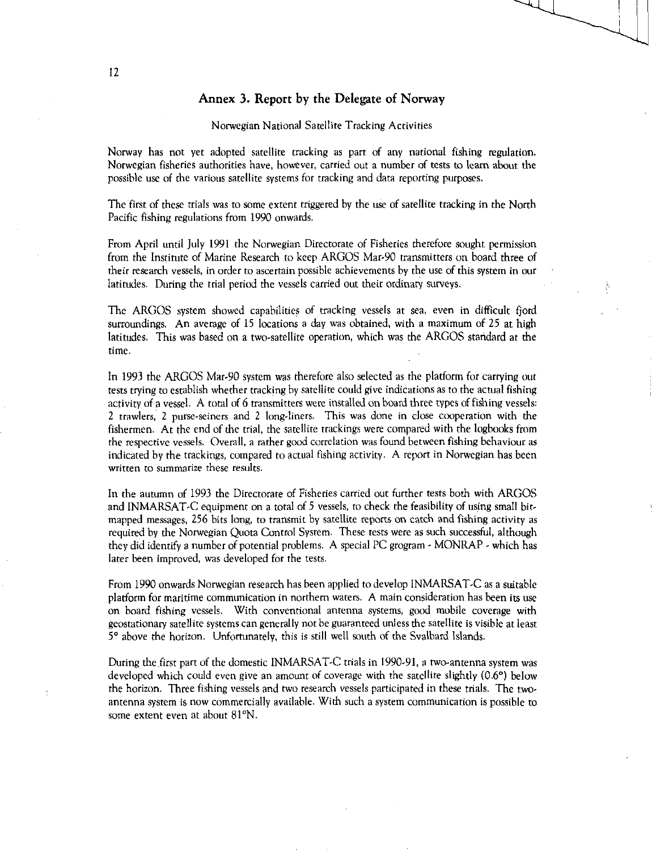# Annex 3. Report by the Delegate of Norway

# Norwegian National Satellite Tracking Activities

Norway has not yet adopted satellite tracking as part of any national fishing regulation. Norwegian fisheries authorities have, however, carried out a number of tests to learn about the possible use of the various satellite systems for tracking and data reporting purposes.

The first of these trials was to some extent triggered by the use of satellite tracking in the North Pacific fishing regulations from 1990 onwards.

From April until July 1991 the Norwegian Directorate of Fisheries therefore sought permission from the Institute of Marine Research to keep ARGOS Mar-90 transmitters on board three of their research vessels, in order to ascertain possible achievements by the use of this system in our latitudes. During the trial period the vessels carried out their ordinary surveys.

The ARGOS system showed capabilities of tracking vessels at sea, even in difficult fjord surroundings. An average of 15 locations a day was obtained, with a maximum of 25 at high latitudes. This was based on a two-satellite operation, which was the ARGOS standard at the time.

In 1993 the ARGOS Mar-90 system was therefore also selected as the platform for carrying out tests trying to establish whether tracking by satellite could give indications as to the actual fishing activity of a vessel. A total of 6 transmitters were installed on board three types of fishing vessels: 2 trawlers, 2 purse-seiners and 2 long-liners. This was done in close cooperation with the fishermen. At the end of the trial, the satellite trackings were compared with the logbooks from the respective vessels. Overall, a rather good correlation was found between fishing behaviour as indicated by the trackings, compared to actual fishing activity. A report in Norwegian has been written to summarize these results.

In the autumn of 1993 the Directorate of Fisheries carried out further tests both with ARGOS and INMARSAT-C equipment on a total of 5 vessels, to check the feasibility of using small bitmapped messages, 256 bits long, to transmit by satellite reports on catch and fishing activity as required by the Norwegian Quota Control System. These tests were as such successful, although they did identify a number of potential problems. A special PC grogram - MONRAP - which has later been improved, was developed for the tests.

From 1990 onwards Norwegian research has been applied to develop INMARSAT-C as a suitable platform for maritime communication in northern waters. A main consideration has been its use on board fishing vessels. With conventional antenna systems, good mobile coverage with geostationary satellite systems can generally not be guaranteed unless the satellite is visible at least 5° above the horizon. Unfortunately, this is still well south of the Svalbard Islands.

During the first part of the domestic INMARSAT-C trials in 1990.91, a two-antenna system was developed which could even give an amount of coverage with the satellite slightly (0.6°) below the horizon. Three fishing vessels and two research vessels participated in these trials. The twoantenna system is now commercially available. With such a system communication is possible to some extent even at about 81°N.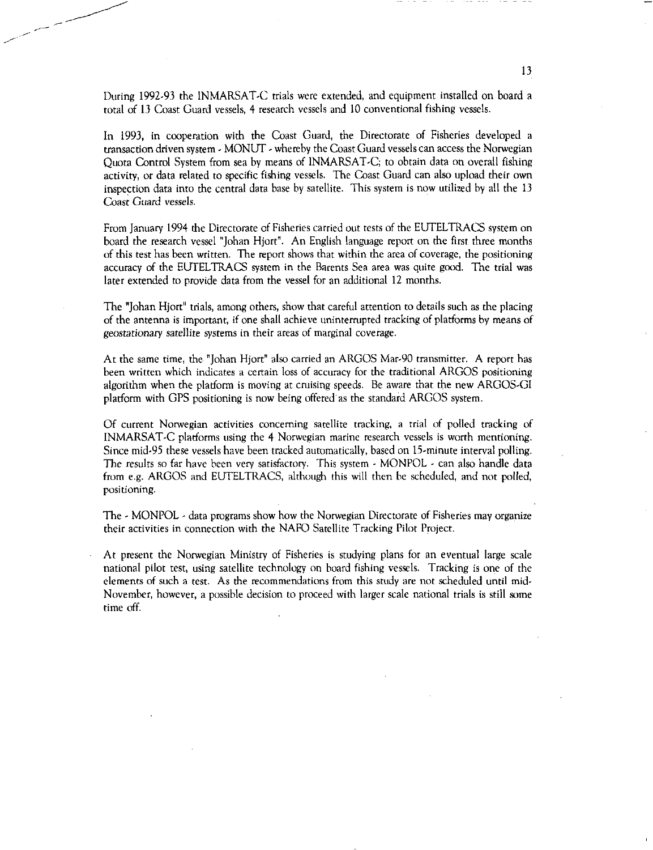During 1992-93 the INMARSAT-C trials were extended, and equipment installed on board a total of 13 Coast Guard vessels, 4 research vessels and 10 conventional fishing vessels.

In 1993, in cooperation with the Coast Guard, the Directorate of Fisheries developed a transaction driven system - MONUT - whereby the Coast Guard vessels can access the Norwegian Quota Control System from sea by means of INMARSAT-C; to obtain data on overall fishing activity, or data related to specific fishing vessels. The Coast Guard can also upload their own inspection data into the central data base by satellite. This system is now utilized by all the 13 Coast Guard *vessels.* 

From January 1994 the Directorate of Fisheries carried out tests of the EUTELTRACS system on board the research vessel "Johan Hjort". An English language report on the first three months of this test has been written. The report shows that within the area of coverage, the positioning accuracy of the EUTELTRACS system in the Barents Sea area was quite good. The trial was later extended to provide data from the vessel for an additional 12 months.

The "Johan Hjort" trials, among others, show that careful attention to details such as the placing of the antenna is important, if one shall achieve uninterrupted tracking of platforms by means of geostationary satellite systems in their areas of marginal coverage.

At the same time, the "Johan Hjort" also carried an ARGOS Mar-90 transmitter. A report has been written which indicates a certain loss of accuracy for the traditional ARGOS positioning algorithm when the platform is moving at cruising speeds. Be aware that the new ARGOS-GI platform with GPS positioning is now being offered as the standard ARGOS system.

Of current Norwegian activities concerning satellite tracking, a trial of polled tracking of INMARSAT-C platforms using the 4 Norwegian marine research vessels is worth mentioning. Since mid-95 these vessels have been tracked automatically, based on 15-minute interval polling. The results so far have been very satisfactory. This system - MONPOL - can also handle data from e.g. ARGOS and EUTELTRACS, although this will then be scheduled, and not polled, positioning.

The - MONPOL - data programs show how the Norwegian Directorate of Fisheries may organize their activities in connection with the NAFO Satellite Tracking Pilot Project.

At present the Norwegian Ministry of Fisheries is studying plans for an eventual large scale national pilot test, using satellite technology on board fishing vessels. Tracking is one of the elements of such a test. As the recommendations from this study are not scheduled until mid-November, however, a possible decision to proceed with larger scale national trials is still some time off.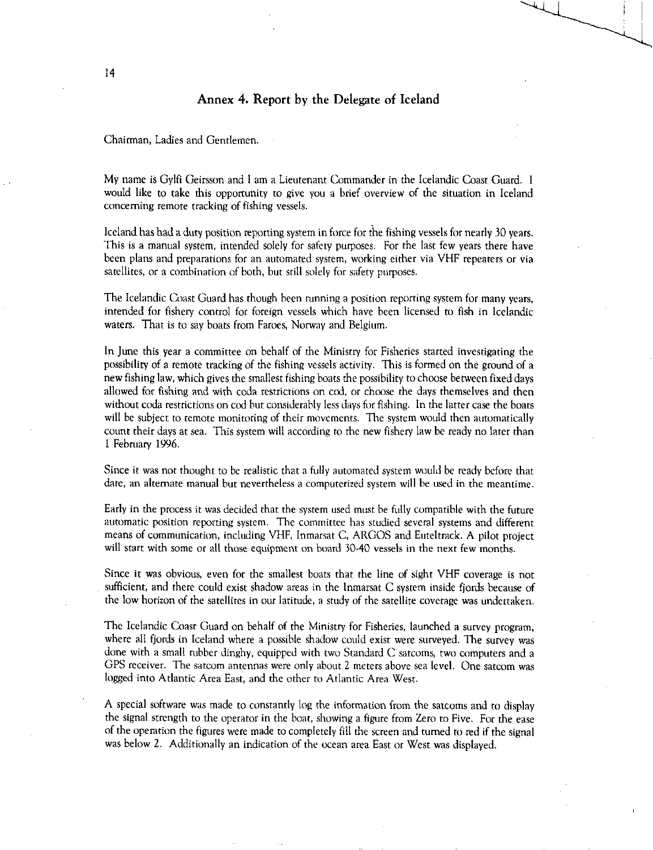# Annex 4. Report by the Delegate of Iceland

Chairman, Ladies and Gentlemen.

My name is Gylfi Geirsson and I am a Lieutenant Commander in the Icelandic Coast Guard. I would like to take this opportunity to give you a brief overview of the situation in Iceland concerning remote tracking of fishing vessels.

Iceland has had a duty position reporting system in force for the fishing vessels for nearly 30 years. This is a manual system, intended solely for safety purposes. For the last few years there have been plans and preparations for an automated system, working either via VHF repeaters or via satellites, or a combination of both, but still solely for safety purposes.

The Icelandic Coast Guard has though been running a position reporting system for many years, intended for fishery control for foreign vessels which have been licensed to fish in Icelandic waters. That is to say boats from Faroes, Norway and Belgium.

In June this year a committee on behalf of the Ministry for Fisheries started investigating the possibility of a remote tracking of the fishing vessels activity. This is formed on the ground of a new fishing law, which gives the smallest fishing boats the possibility to choose between fixed days allowed for fishing and with coda restrictions on cod, or choose the days themselves and then without coda restrictions on cod but considerably less days for fishing. In the latter case the boats will be subject to remote monitoring of their movements. The system would then automatically count their days at sea. This system will according to the new fishery law be ready no later than 1 February 1996.

Since it was not thought to be realistic that a fully automated system would he ready before that date, an alternate manual but nevertheless a computerized system will be used in the meantime.

Early in the process it was decided that the system used must be fully compatible with the future automatic position reporting system. The committee has studied several systems and different means of communication, including VHF, Inmarsat C, ARGOS and Euteltrack. A pilot project will start with some or all those equipment on board 30.40 vessels in the next few months.

Since it was obvious, even for the smallest boats that the line of sight VHF coverage is not sufficient, and there could exist shadow areas in the Inmarsat C system inside fjords because of the low horizon of the satellites in our latitude, a study of the satellite coverage was undertaken.

The Icelandic Coast Guard on behalf of the Ministry for Fisheries, launched a survey program, where all fjords in Iceland where a possible shadow could exist were surveyed. The survey was done with a small rubber dinghy, equipped with two Standard C satcoms, two computers and a GPS receiver. The satcom antennas were only about 2 meters above sea level. One satcom was logged into Atlantic Area East, and the other to Atlantic Area West.

A special software was made to constantly log the information from the satcoms and to display the signal strength to the operator in the boat, showing a figure from Zero to Five. For the ease of the operation the figures were made to completely fill the screen and turned to red if the signal was below 2. Additionally an indication of the ocean area East or West was displayed.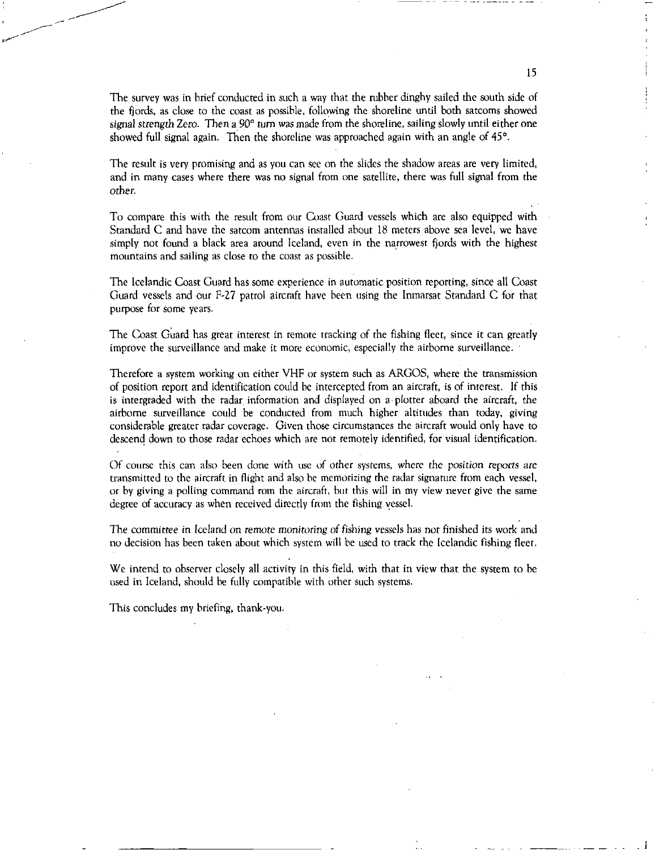The survey was in brief conducted in such a way that the rubber dinghy sailed the south side of the fjords, as close to the coast as possible, following the shoreline until both satcoms showed signal strength Zero. Then a 90° turn was made from the shoreline, sailing slowly until either one showed full signal again. Then the shoreline was approached again with an angle of 45°.

The result is very promising and as you can see on the slides the shadow areas are very limited, and in many cases where there was no signal from one satellite, there was full signal from the other.

To compare this with the result from our Coast Guard vessels which are also equipped with Standard C and have the satcom antennas installed about 18 meters above sea level, we have simply not found a black area around Iceland, even in the narrowest fjords with the highest mountains and sailing as close to the coast as possible.

The Icelandic Coast Guard has some experience in automatic position reporting, since all Coast Guard vessels and our F-27 patrol aircraft have been using the Inmarsat Standard C for that purpose for some years.

The Coast Guard has great interest in remote tracking of the fishing fleet, since it can greatly improve the surveillance and make it more economic, especially the airborne surveillance.

Therefore a system working on either VHF or system such as ARGOS, where the transmission of position report and identification could be intercepted from an aircraft, is of interest. If this is intergraded with the radar information and displayed on a• plotter aboard the aircraft, the airborne surveillance could be conducted from much higher altitudes than today, giving considerable greater radar coverage. Given those circumstances the aircraft would only have to descend down to those radar echoes which are not remotely identified, for visual identification.

Of course this can also been done with use of other systems, where the *position reports are*  transmitted to the aircraft in flight and also be memorizing the radar signature from each vessel, or by giving a polling command rom the aircraft, but this will in my view never give the same degree of accuracy as when received directly from the fishing vessel.

The committee in Iceland on *remote* monitoring of *fishing vessels* has not finished its work and no decision has been taken about which system will be used to track the Icelandic fishing fleet.

We intend to observer closely all activity in this field, with that in view that the system to be used in Iceland, should be fully compatible with other such systems.

This concludes my briefing, thank-you.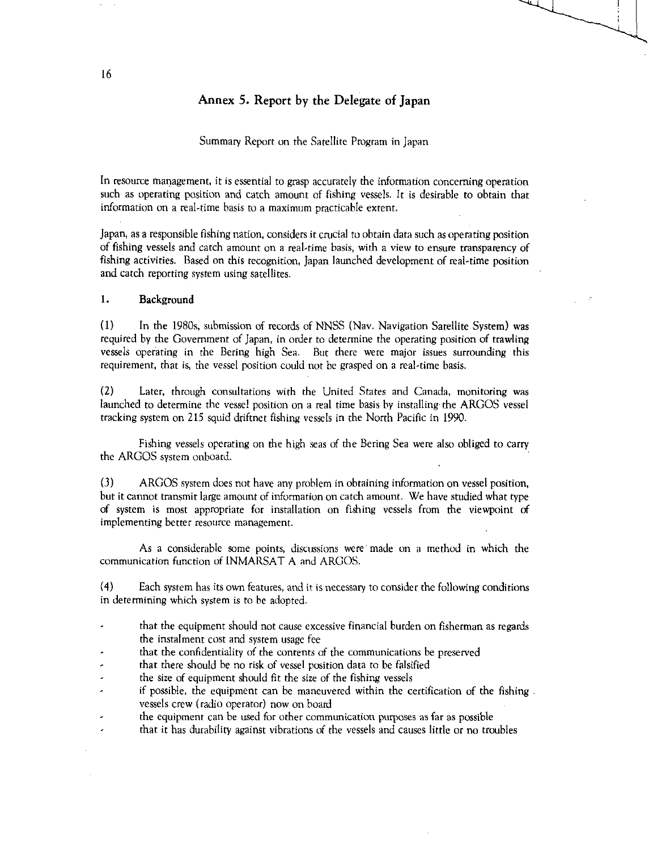# Annex 5. Report by the Delegate of Japan

## Summary Report on the Satellite Program in Japan

In resource management, it is essential to grasp accurately the information concerning operation such as operating position and catch amount of fishing vessels. It is desirable to obtain that information on a real-time basis to a maximum practicable extent.

Japan, as a responsible fishing nation, considers it crucial to obtain data such as operating position of fishing vessels and catch amount on a real-time basis, with a view to ensure transparency of fishing activities. Based on this recognition, Japan launched development of real-time position and catch reporting system using satellites.

# 1. Background

(1) In the 1980s, submission of records of NNSS (Nay. Navigation Satellite System) was required by the Government of Japan, in order to determine the operating position of trawling vessels operating in the Bering high Sea. But there were major issues surrounding this requirement, that is, the vessel position could not be grasped on a real-time basis.

(2) Later, through consultations with the United States and Canada, monitoring was launched to determine the vessel position on a real time basis by installing. the ARGOS vessel tracking system on 215 squid driftnet fishing vessels in the North Pacific in 1990.

Fishing vessels operating on the high seas of the Bering Sea were also obliged to carry the ARGOS system onboard.

(3) ARGOS system does not have any problem in obtaining information on vessel position, but it cannot transmit large amount of information on catch amount. We have studied what type of system is most appropriate for installation on fishing vessels from the viewpoint of implementing better resource management.

As a considerable some points, discussions were made on a method in which the communication function of INMARSAT A and ARGOS.

(4) Each system has its own features, and it is necessary to consider the following conditions in determining which system is to be adopted.

- that the equipment should not cause excessive financial burden on fisherman as regards the instalment cost and system usage fee
- that the confidentiality of the contents of the communications be preserved
- that there should be no risk of vessel position data to be falsified
- the size of equipment should fit the size of the fishing vessels
- $\overline{a}$ if possible, the equipment can be maneuvered within the certification of the fishing . vessels crew (radio operator) now on board
- the equipment can be used for other communication purposes as far as possible
- that it has durability against vibrations of the vessels and causes little or no troubles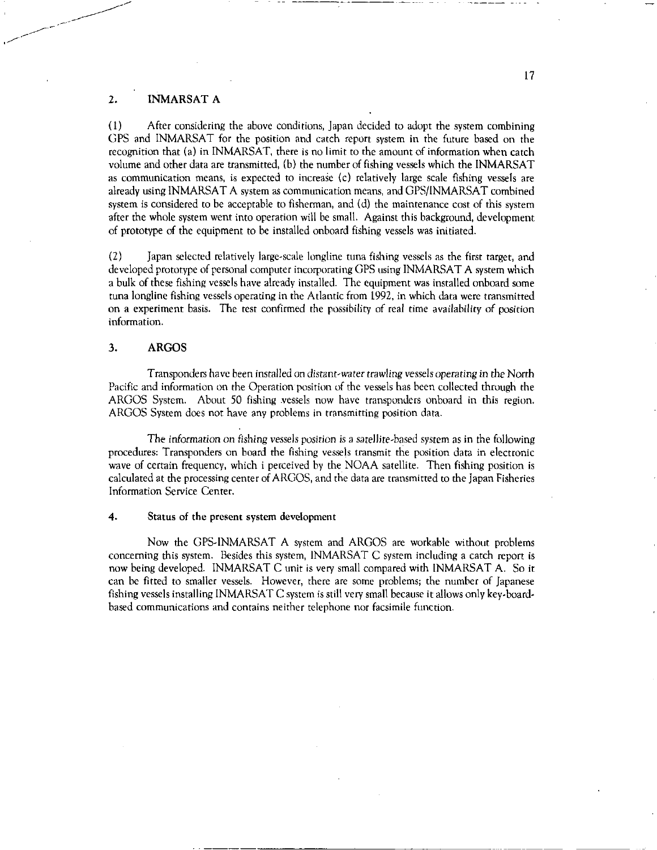# 2. INMARSAT A

(1) After considering the above conditions, Japan decided to adopt the system combining GPS and INMARSAT for the position and catch report system in the future based on the recognition that (a) in INMARSAT, there is no limit to the amount of information when catch volume and other data are transmitted, (b) the number of fishing vessels which the INMARSAT as communication means, is expected to increase (c) relatively large scale fishing vessels are already using INMARSAT A system as communication means, and GPS/INMARSAT combined system is considered to be acceptable to fisherman, and (d) the maintenance cost of this system after the whole system went into operation will be small. Against this background, development of prototype of the equipment to be installed onboard fishing vessels was initiated.

(2) Japan selected relatively large-scale longline tuna fishing vessels as the first target, and developed prototype of personal computer incorporating GPS using INMARSAT A system which a bulk of these fishing vessels have already installed. The equipment was installed onboard some tuna longline fishing vessels operating in the Atlantic from 1992, in which data were transmitted on a experiment basis. The test confirmed the possibility of real time availability of position information.

# 3. ARGOS

Transponders have been installed on *distant-water trawling vessels operating* in the North Pacific and information on the Operation position of the vessels has been collected through the ARGOS System. About 50 fishing vessels now have transponders onboard in this region. ARGOS System does not have any problems in transmitting position data.

The information on fishing *vessels position* is a satellite-based system as in the following procedures: Transponders on board the fishing vessels transmit the position data in electronic wave of certain frequency, which i perceived by the NOAA satellite. Then fishing position is calculated at the processing center of ARGOS, and the data are transmitted to the Japan Fisheries Information Service Center.

#### 4. Status of the present system development

Now the GPS-INMARSAT A system and ARGOS are workable without problems concerning this system. Besides this system, INMARSAT C system including a catch report is now being developed. INMARSAT C unit is very small compared with INMARSAT A. So it can be fitted to smaller vessels. However, there are some problems; the number of Japanese fishing vessels installing INMARSAT C system is still very small because it allows only key-boardbased communications and contains neither telephone nor facsimile function.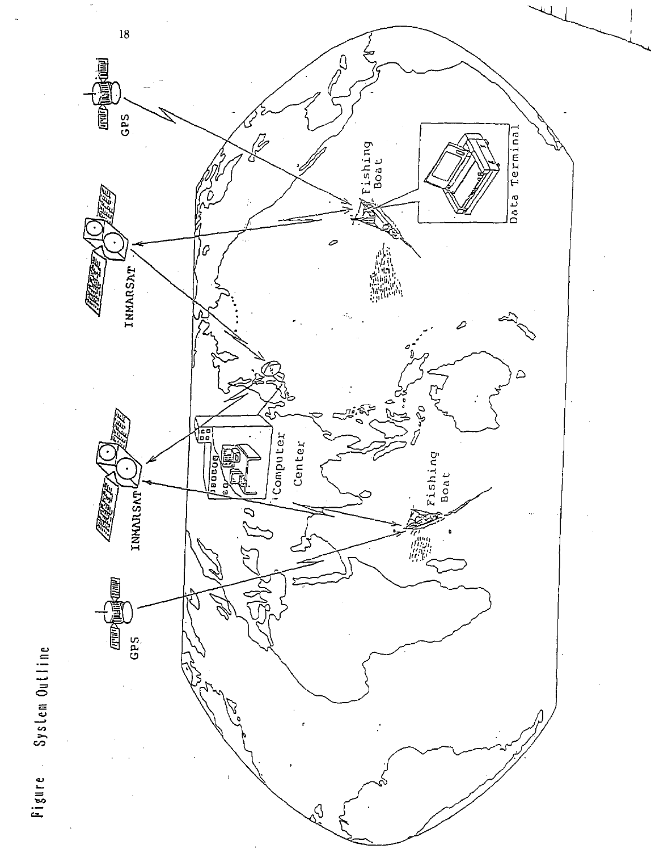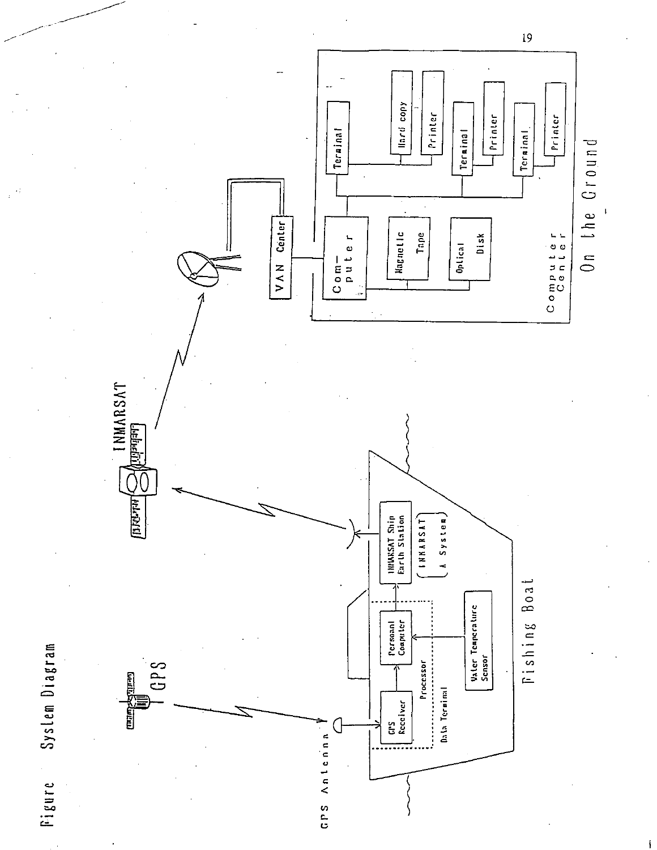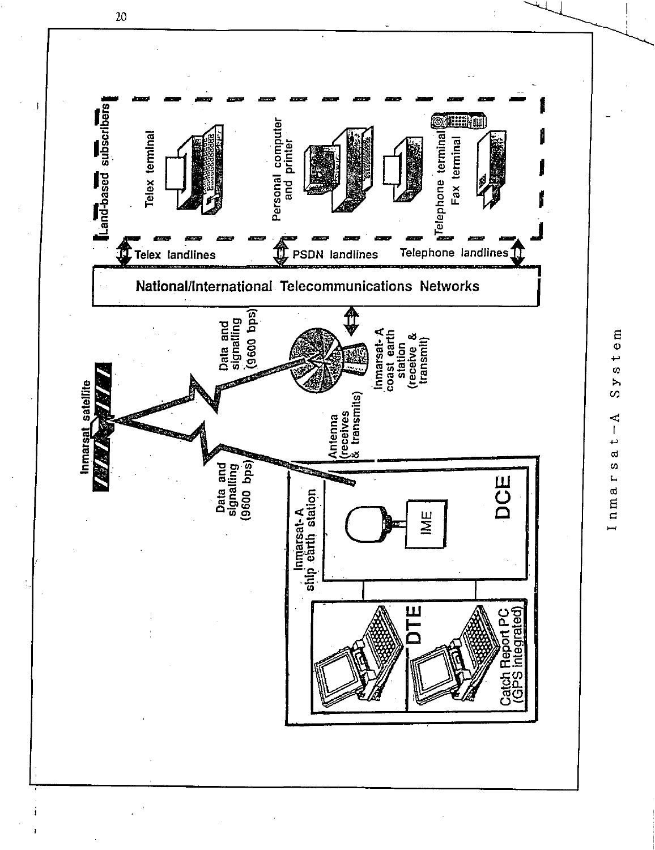

 $\mathfrak{m}$  $\overline{\phantom{0}}$  $\boldsymbol{\sigma}$  $\triangleright$  $\sigma$ 4  $\mathsf I$  $\overline{\phantom{0}}$  $\varpi$ Inmars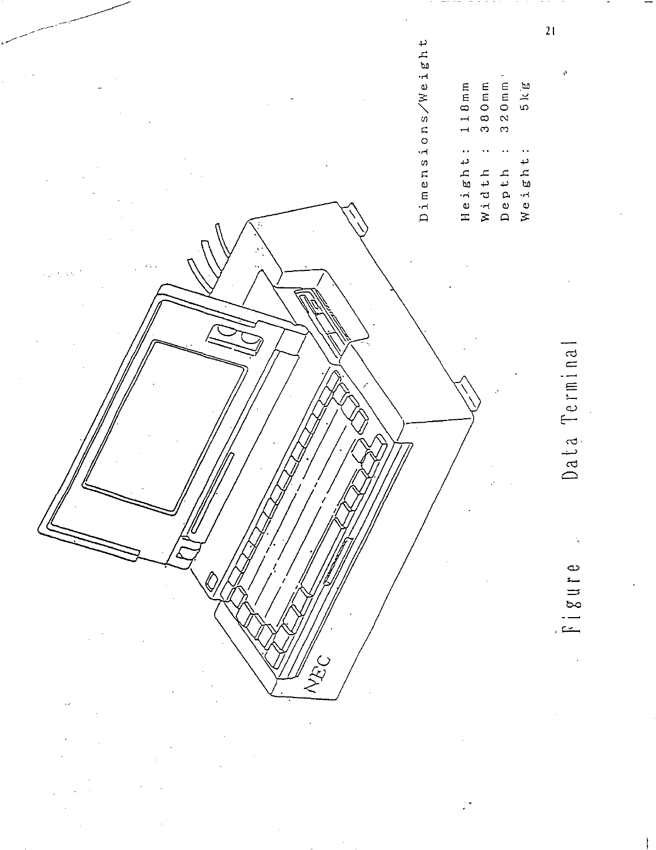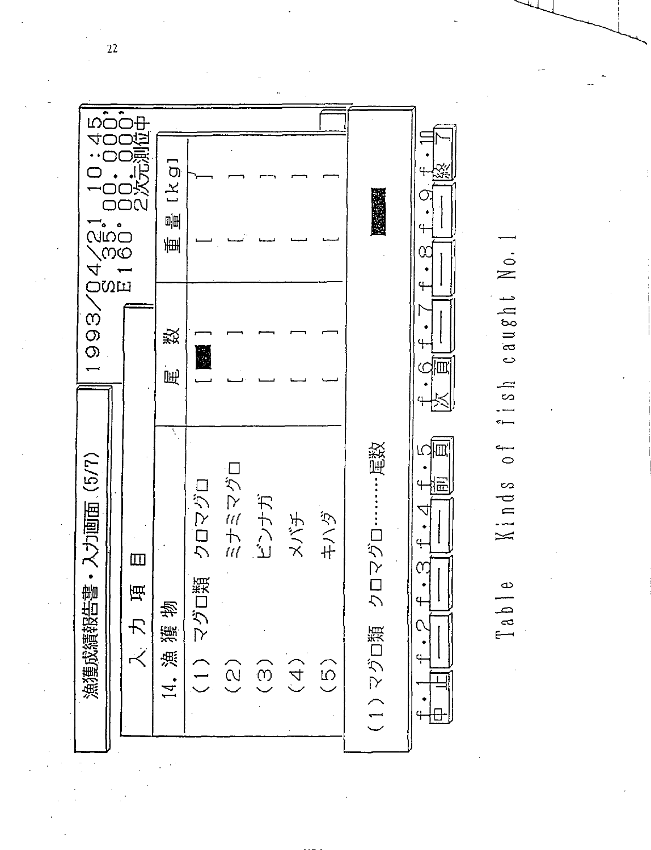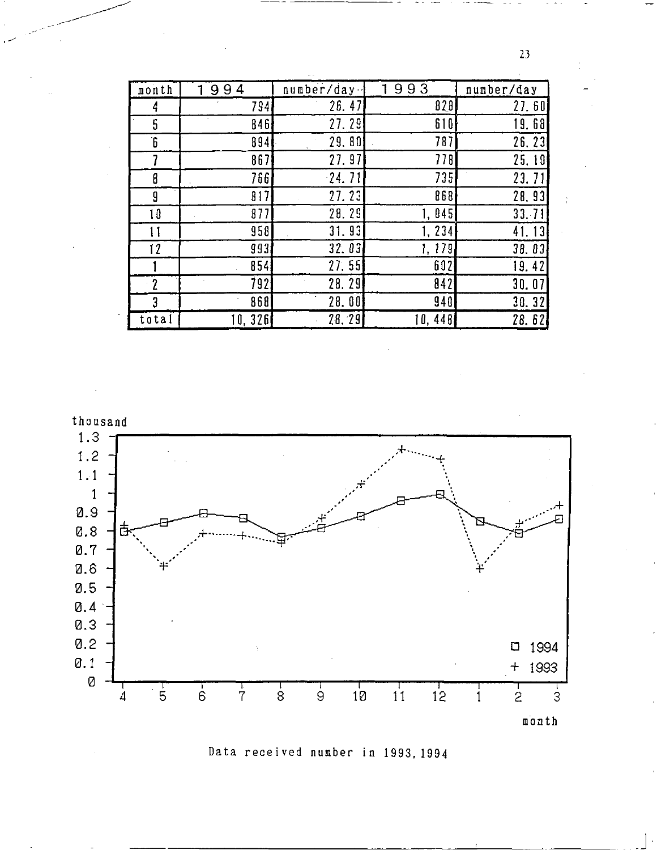| month            | 99<br>4 | number/day- | 93<br>9 | number/day |
|------------------|---------|-------------|---------|------------|
| 4                | 794     | 26.47       | 828     | 27.60      |
| 5                | 8461    | 27.29       | 610     | 19.68      |
| $6^{\circ}$      | 894     | 29.80       | 787     | 26.23      |
|                  | 867     | 27.97       | 778     | 25.10      |
| 8                | 7661    | $-24.71$    | 735     | 23.71      |
| 9                | 817     | 27.23       | 868     | 28.93      |
| 10               | 877     | 28.29       | 1, 045  | 33.71      |
| 11               | 958     | 31.93       | 1.234   | 41.13      |
| 12               | 993     | 32.03       | 1.179   | 38.03      |
|                  | 854     | 27.55       | 602     | 19.42      |
| $\boldsymbol{2}$ | 792     | 28.29       | 842     | 30.07      |
| 3                | 868     | 28.00       | 940     | 30.32      |
| total            | 10,326  | 28.29       | 10, 448 | 28.62      |



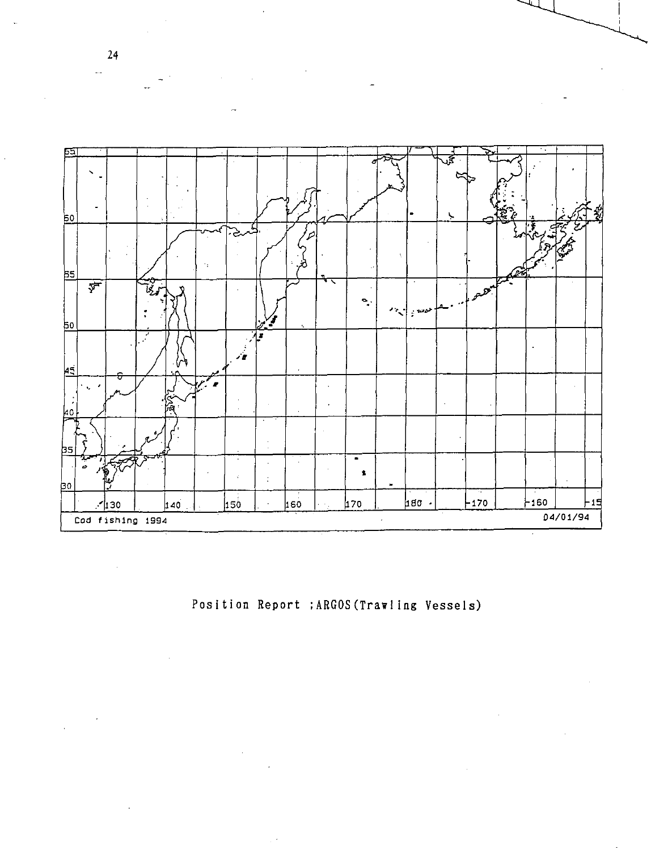

Position Report ; ARGOS (Trawling Vessels)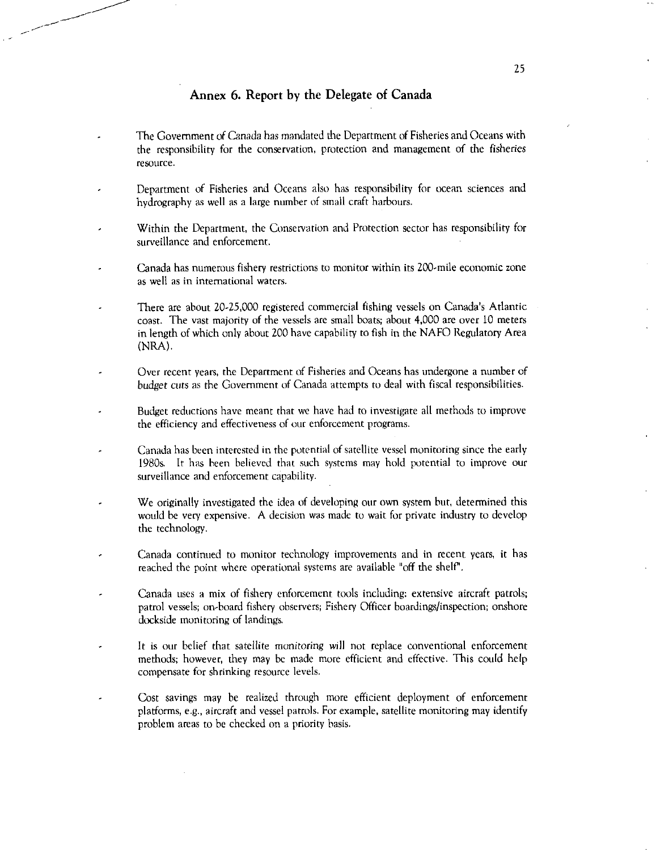# Annex 6. Report by the Delegate of Canada

- The Government of Canada has mandated the Department of Fisheries and Oceans with the responsibility for the conservation, protection and management of the fisheries resource.
- Department of Fisheries and Oceans also has responsibility for ocean sciences and hydrography as well as a large number of small craft harbours.
- Within the Department, the Conservation and Protection sector has responsibility for surveillance and enforcement.
- Canada has numerous fishery restrictions to monitor within its 200-mile economic zone as well as in international waters.
- There are about 20-25,000 registered commercial fishing vessels on Canada's Atlantic coast. The vast majority of the vessels are small boats; about 4,000 are over 10 meters in length of which only about 200 have capability to fish in the NAFO Regulatory Area (NRA).
- Over recent years, the Department of Fisheries and Oceans has undergone a number of *budget cuts* as the Government of Canada attempts to deal with fiscal responsibilities.
- Budget reductions have meant that we have had to investigate all methods to improve the efficiency and effectiveness of our enforcement programs.
- Canada has been interested in the potential of satellite vessel monitoring since the early 1980s. It has been believed that such systems may hold potential to improve our surveillance and enforcement capability.
- We originally investigated the idea of developing our own system hut, determined this would be very expensive. A decision was made to wait for private industry to develop the technology.
- Canada continued to monitor technology improvements and in recent years, it has reached the point where operational systems are available "off the shelf'.
- Canada uses a mix of fishery enforcement tools including: extensive aircraft patrols; patrol vessels; on-board fishery observers; Fishery Officer boardings/inspection; onshore dockside monitoring of landings.
- It is our belief that satellite *monitoring* will not replace conventional enforcement methods; however, they may be made more efficient and effective. This could help compensate for shrinking resource levels.
- Cost savings may be realized through more efficient deployment of enforcement platforms, e.g., aircraft and vessel patrols. For example, satellite monitoring may identify problem areas to be checked on a priority basis.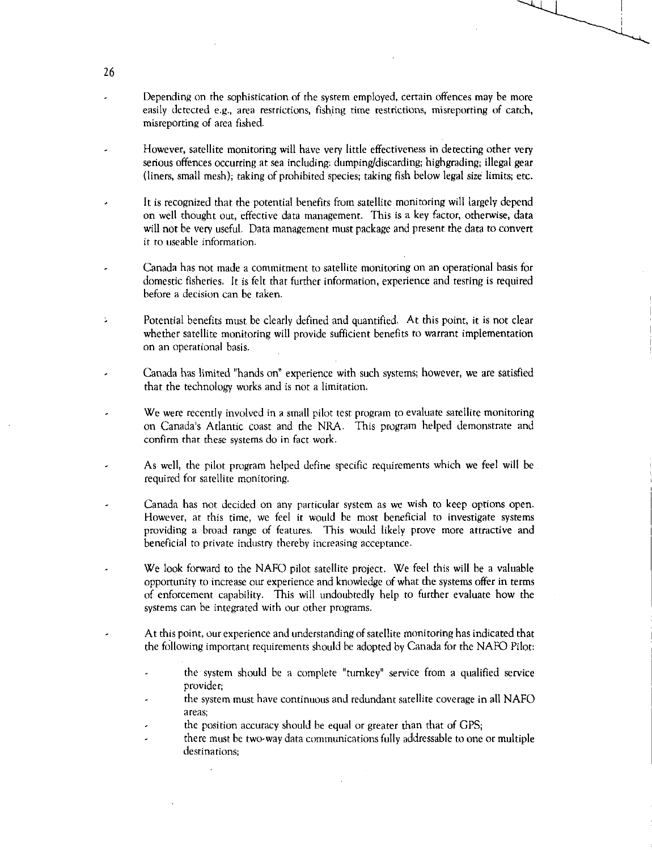- Depending on the sophistication of the system employed, certain offences may be more easily detected e.g., area restrictions, fishing time restrictions, misreporting of catch, misreporting of area fished.
- However, satellite monitoring will have very little effectiveness in detecting other very serious offences occurring at sea including: dumping/discarding; highgrading; illegal gear (liners, small mesh); taking of prohibited species; taking fish below legal size limits; etc.
- It is recognized that the potential benefits from satellite monitoring will largely depend on well thought out, effective data management. This is a key factor, otherwise, data will not be very useful. Data management must package and present the data to convert it to useable information.
- Canada has not made a commitment to satellite monitoring on an operational basis for domestic fisheries. It is felt that further information, experience and testing is required before a decision can he taken.
- Potential benefits must be clearly defined and quantified. At this point, it is not clear ÷. whether satellite monitoring will provide sufficient benefits to warrant implementation on an operational basis.
- Canada has limited "hands on" experience with such systems; however, we are satisfied that the technology works and is not a limitation.
- We were recently involved in a small pilot test program to evaluate satellite monitoring on Canada's Atlantic coast and the NRA. This program helped demonstrate and confirm that these systems do in fact work.
- As well, the pilot program helped define specific requirements which we feel will be required for satellite monitoring.
- Canada has not decided on any particular system as we wish to keep options open. However, at this time, we feel it would be most beneficial to investigate systems providing a broad range of features. This would likely prove more attractive and beneficial to private industry thereby increasing acceptance.
- We look forward to the NAFO pilot satellite project. We feel this will be a valuable opportunity to increase our experience and knowledge of what the systems offer in terms of enforcement capability. This will undoubtedly help to further evaluate how the systems can be integrated with our other programs.
- At this point, our experience and understanding of satellite monitoring has indicated that the following important requirements should be adopted by Canada for the NAFO Pilot:
	- the system should be a complete "turnkey" service from a qualified service provider;
	- the system must have continuous and redundant satellite coverage in all NAFO areas;
	- the position accuracy should be equal or greater than that of GPS;
	- there must be two-way data communications fully addressable to one or multiple destinations;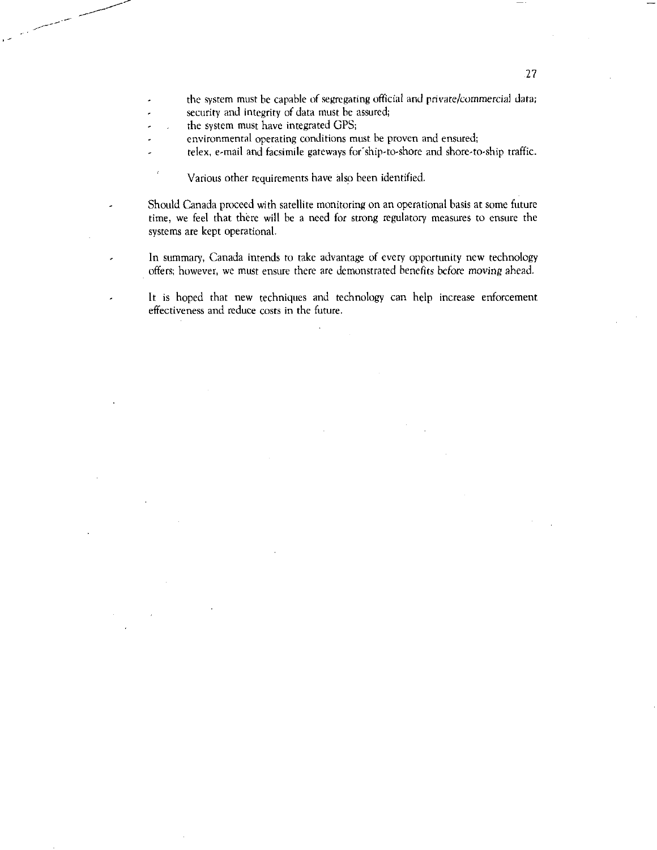- the system must he capable of segregating official and private/commercial data;
- security and integrity of data must be assured;
- the system must have integrated GPS;
- environmental operating conditions must he proven and ensured;
- telex, e-mail and facsimile gateways for ship-to-shore and shore-to-ship traffic. l,

Various other requirements have also been identified.

Should Canada proceed with satellite monitoring on an operational basis at some future time, we feel that there will be a need for strong regulatory measures to ensure the systems are kept operational.

In summary, Canada intends to take advantage of every opportunity new technology offers; however, we must ensure there are demonstrated benefits *before moving* ahead.

It is hoped that new techniques and technology can help increase enforcement effectiveness and reduce costs in the future.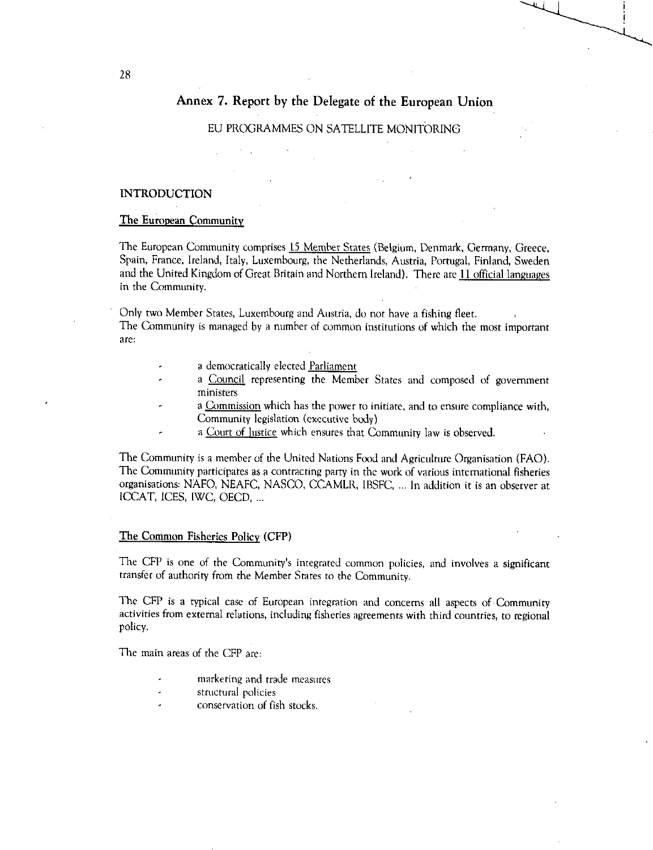# Annex 7. Report by the Delegate of the European Union

# EU PROGRAMMES ON SATELLITE MONITORING

# INTRODUCTION

# The European Community

The European Community comprises 15 Member States (Belgium, Denmark, Germany, Greece, Spain, France, Ireland, Italy, Luxembourg, the Netherlands, Austria, Portugal, Finland, Sweden and the United Kingdom of Great Britain and Northern Ireland). There are 11 official languages in the Community.

Only two Member States, Luxembourg and Austria, do not have a fishing fleet.

The Community is managed by a number of common institutions of which the most important are:

- a democratically elected Parliament
- a Council representing the Member States and composed of government ministers
- a Commission which has the power to initiate, and to ensure compliance with, Community legislation (executive body)
- a Court of Justice which ensures that Community law is observed.

The Community is a member of the United Nations Food and Agriculture Organisation (FAO). The Community participates as a contracting party in the work of various international fisheries organisations: NAFO, NEAFC, NASCO, CCAMLR, IBSFC, ... In addition it is an observer at ICCAT, ICES, IWC, OECD, ...

#### The Common Fisheries Policy (CFP)

The CFP is one of the Community's integrated common policies, and involves a significant transfer of authority from the Member States to the Community.

The CFP is a typical case of European integration and concerns all aspects of Community activities from external relations, including fisheries agreements with third countries, to regional policy.

The main areas of the CFP are:

- marketing and trade measures
- structural policies
- conservation of fish stocks.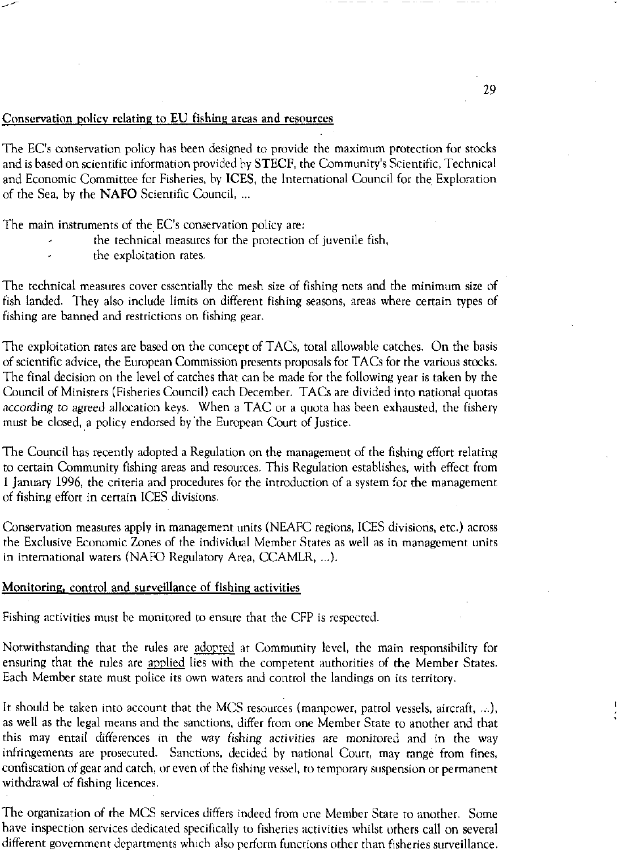### Conservation policy relating to EU fishing areas and resources

The EC's conservation policy has been designed to provide the maximum protection for stocks and is based on scientific information provided by STECF, the Community's Scientific, Technical and Economic Committee for Fisheries, by ICES, the International Council for the Exploration of the Sea, by the NAFO Scientific Council, ...

The main instruments of the EC's conservation policy are:

- the technical measures for the protection of juvenile fish,
- the exploitation rates.

The technical measures cover essentially the mesh size of fishing nets and the minimum size of fish landed. They also include limits on different fishing seasons, areas where certain types of fishing are banned and restrictions on fishing gear.

The exploitation rates are based on the concept of TACs, total allowable catches. On the basis of scientific advice, the European Commission presents proposals for TACs for the various stocks. The final decision on the level of catches that can be made for the following year is taken by the Council of Ministers (Fisheries Council) each December. TACs are divided into national quotas *according* to *agreed* allocation keys. When a TAC or a quota has been exhausted, the fishery must be closed, a policy endorsed by 'the European Court of Justice.

The Council has recently adopted a Regulation on the management of the fishing effort relating to certain Community fishing areas and resources. This Regulation establishes, with effect from 1 January 1996, the criteria and procedures for the introduction of a system for the management of fishing effort in certain ICES divisions.

Conservation measures apply in management units (NEAFC regions, ICES divisions, etc.) across the Exclusive Economic Zones of the individual Member States as well as in management units in international waters (NAFO Regulatory Area, CCAMLR, ...).

#### Monitoring, control and surveillance of fishing activities

Fishing activities must be monitored to ensure that the CFP is respected.

Notwithstanding that the rules are adopted at Community level, the main responsibility for ensuring that the rules are applied lies with the competent authorities of the Member States. Each Member state must police its own waters and control the landings on its territory.

It should be taken into account that the MCS resources (manpower, patrol vessels, aircraft, ...), as well as the legal means and the sanctions, differ from one Member State to another and that this may entail differences in the way *fishing activities are* monitored and in the way infringements are prosecuted. Sanctions, decided by national Court, may range from fines, confiscation of gear and catch, or even of the fishing vessel, to temporary suspension or permanent withdrawal of fishing licences.

The organization of the MCS services differs indeed from one Member State to another. Some have inspection services dedicated specifically to fisheries activities whilst others call on several different government departments which also perform functions other than fisheries surveillance.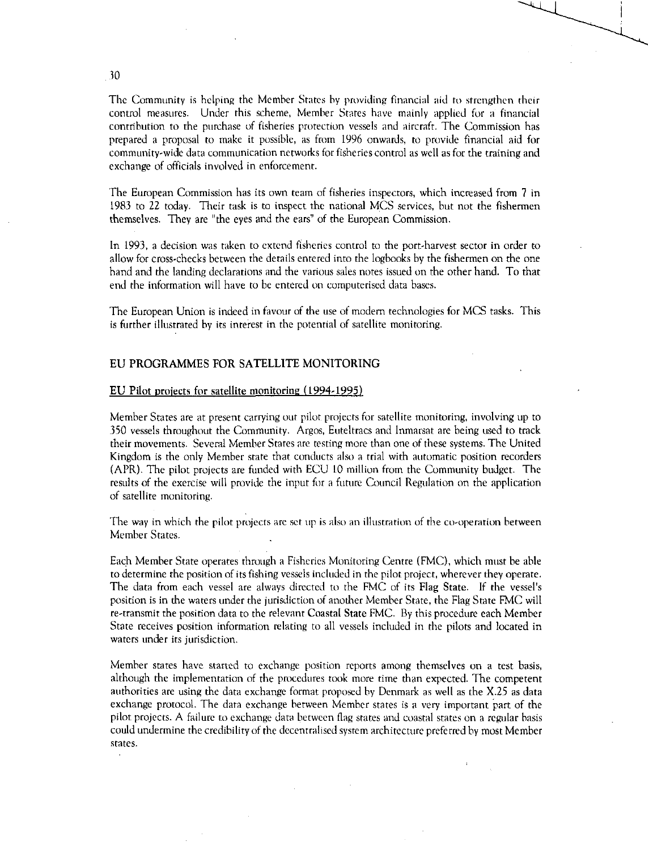The Community is helping the Member States by providing financial aid to strengthen their control measures. Under this scheme, Member States have mainly applied for a financial contribution to the purchase of fisheries protection vessels and aircraft. The Commission has prepared a proposal to make it possible, as from 1996 onwards, to provide financial aid for community-wide data communication networks for fisheries control as well as for the training and exchange of officials involved in enforcement.

The European Commission has its own team of fisheries inspectors, which increased from 7 in 1983 to 22 today. Their task is to inspect the national MCS services, but not the fishermen themselves. They are "the eyes and the ears" of the European Commission.

In 1993, a decision was taken to extend fisheries control to the port-harvest sector in order to allow for cross-checks between the details entered into the logbooks by the fishermen on the one hand and the landing declarations and the various sales notes issued on the other hand. To that end the information will have to be entered on computerised data bases.

The European Union is indeed in favour of the use of modem technologies for MCS tasks. This is further illustrated by its interest in the potential of satellite monitoring.

# EU PROGRAMMES FOR SATELLITE MONITORING

#### EU Pilot projects for satellite monitoring (1994.1995)

Member States are at present carrying out pilot projects for satellite monitoring, involving up to 350 vessels throughout the Community. Argos, Euteltracs and Inmarsat are being used to track their movements. Several Member States are testing more than one of these systems. The United Kingdom is the only Member state that conducts also a trial with automatic position recorders (APR). The pilot projects are funded with ECU 10 million from the Community budget. The results of the exercise will provide the input for a future Council Regulation on the application of satellite monitoring.

The way in which the pilot projects are set up is also an illustration of the co-operation between Member States.

Each Member State operates through a Fisheries Monitoring Centre (FMC), which must be able to determine the position of its fishing vessels included in the pilot project, wherever they operate. The data from each vessel are always directed to the FMC of its Flag State. If the vessel's position is in the waters under the jurisdiction of another Member State, the Flag State FMC will re-transmit the position data to the relevant Coastal State FMC. By this procedure each Member State receives position information relating to all vessels included in the pilots and located in waters under its jurisdiction.

Member states have started to exchange position reports among themselves on a test basis, although the implementation of the procedures took more time than expected. The competent authorities are using the data exchange format proposed by Denmark as well as the X.25 as data exchange protocol. The data exchange between Member states is a very important part of the pilot projects. A failure to exchange data between flag states and coastal states on a regular basis could undermine the credibility of the decentralised system architecture preferred by most Member states.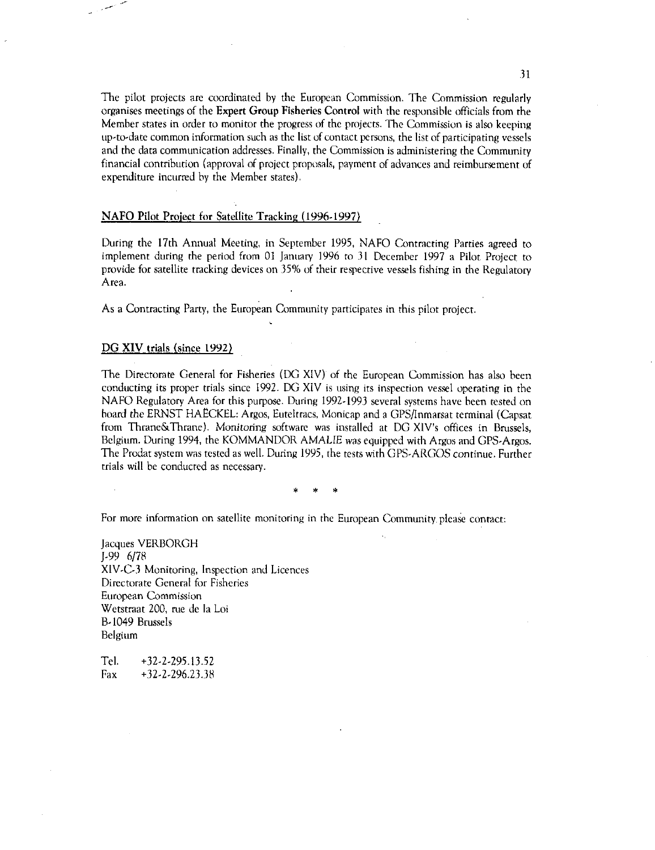The pilot projects are coordinated by the European Commission. The Commission regularly organises meetings of the Expert Group Fisheries Control with the responsible officials from the Member states in order to monitor the progress of the projects. The Commission is also keeping up-to-date common information such as the list of contact persons, the list of participating vessels and the data communication addresses. Finally, the Commission is administering the Community financial contribution (approval of project proposals, payment of advances and reimbursement of expenditure incurred by the Member states).

# NAFO Pilot Project for Satellite Tracking (1996-1997)

During the 17th Annual Meeting, in September 1995, NAFO Contracting Parties agreed to implement during the period from 01 January 1996 to 31 December 1997 a Pilot Project to provide for satellite tracking devices on 35% of their respective vessels fishing in the Regulatory Area.

As a Contracting Party, the European Community participates in this pilot project.

#### DG XIV trials (since 1992)

The Directorate General for Fisheries (DG XIV) of the European Commission has also been conducting its proper trials since 1992. DG XIV is using its inspection vessel operating in the NAFO Regulatory Area for this purpose. During 1992-1993 several systems have been tested on hoard the ERNST HAECKEL: Argos, Euteltracs, Monicap and a GPS/Inmarsat terminal (Capsat from Thrane&Thrane). Monitoring software was installed at DG XIV's offices in Brussels, Belgium. During 1994, the KOMMANDOR AMALIE was equipped with Argos and GPS-Argos. The Prodat system was tested as well. During 1995, the tests with GPS-ARGOS continue. Further trials will be conducted as necessary.

\* \* \*

For more information on satellite monitoring in the European Community. please contact:

Jacques VERBORGH J-99 6/78 XIV-C-3 Monitoring, Inspection and Licences Directorate General for Fisheries European Commission Wetstraat 200, rue de la Loi B-1049 Brussels Belgium

Tel. +32-2-295.13.52 Fax +32.2-296.23.38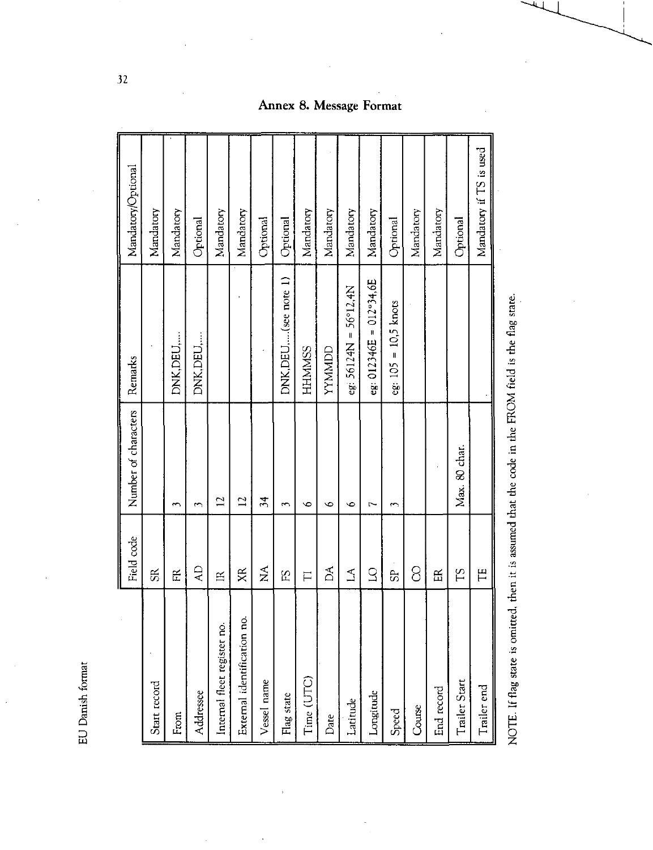EU Danish format

|                                                                                                       | Field code                     | Number of characters | Remarks                          | MandatoryOptional       |
|-------------------------------------------------------------------------------------------------------|--------------------------------|----------------------|----------------------------------|-------------------------|
| Start record                                                                                          | $\Re$                          |                      |                                  | Mandatory               |
| From                                                                                                  | 氏                              | $\overline{ }$       | DNK, DEU,                        | Mandatory               |
| Addressee                                                                                             | $\overline{A}$                 | 3                    | DNK, DEU,                        | Optional                |
| Internal fleet register no.                                                                           | $\mathbb{R}$                   | $\overline{12}$      |                                  | Mandatory               |
| ó<br>External identification no                                                                       | XR                             | $\overline{2}$       |                                  | Mandatory               |
| Vessel name                                                                                           | $\mathop{\mathsf{X}}\nolimits$ | $\frac{4}{3}$        |                                  | Optional                |
| Flag state                                                                                            | S <sub>3</sub>                 | $\overline{ }$       | DNK, DEU,(see note 1)            | Optional                |
| Time (UTC)                                                                                            | $\overline{\Box}$              | ç                    | <b>HHMMSS</b>                    | Mandatory               |
| Date                                                                                                  | Á                              | $\circ$              | <b><i>LINNNA</i></b>             | Mandatory               |
| Latitude                                                                                              | $\overline{\mathcal{L}}$       | $\bullet$            | eg: $56124N = 56912.4N$          | Mandatory               |
| Longitude                                                                                             | 2                              | r                    | eg: $012346E = 012^{\circ}34,6E$ | Mandatory               |
| Speed                                                                                                 | 59                             | $\overline{ }$       | $eg: 105 = 10,5$ knots           | Optional                |
| Course                                                                                                | 8                              |                      |                                  | Mandatory               |
| End record                                                                                            | E                              |                      |                                  | Mandatory               |
| Trailer Start                                                                                         | ΣH                             | Max. 80 char.        |                                  | Optional                |
| Trailer end                                                                                           | Ë                              |                      |                                  | Mandatory if TS is used |
| NOTE. If flag state is omitted, then it is assumed that the code in the FROM field is the flag state. |                                |                      |                                  |                         |

# Annex 8. Message Format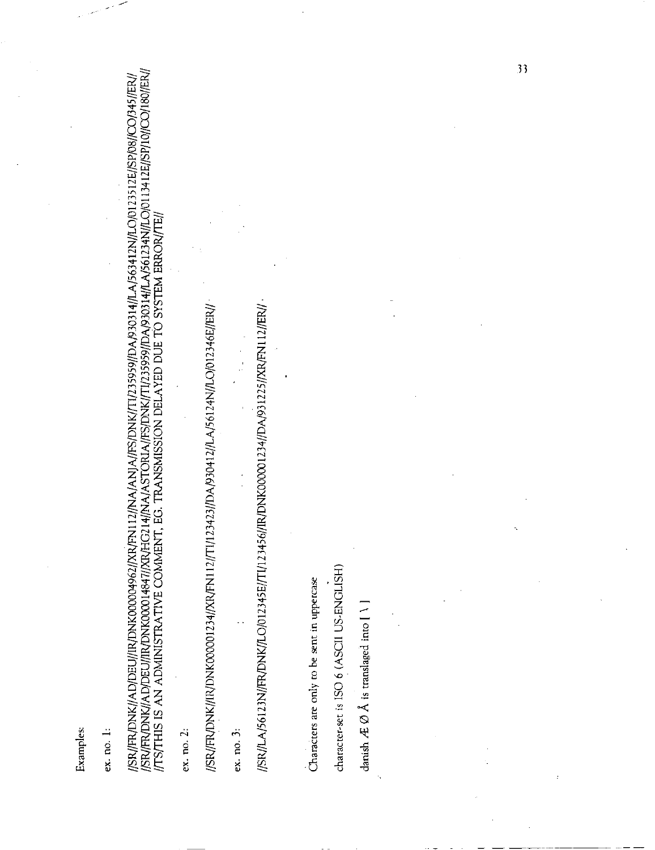Examples:

ex. no. 1:

//SR//FR/DNK//AD/DEU//IR/DNK00004962//XR/FN112//NA/ANJA//FS/DNK//T1/235959//DA/930314//LA/563412N/LO/0123512E//SP/08//CO/345//ER//<br>//SR//FR/DNK//AD/DEU//IR/DNK00014847//XR/HG214//NA/ASTORIA//FS/DNK//T1/235959//DA/930314//L

 $ex. no. 2:$ 

//SR//FR/DNK//IR/DNK000001234//XR/FN112//T1/123423//DA/930412//LA/56124N//LO/012346E//ER//

 $ex. no. 3:$ 

//SR//LA/56123N//FR/DNK//LO/012345E//TI/123456//IR/DNK000001234//DA/931225//XR/FN112//ER//

character-set is ISO 6 (ASCII US-ENGLISH) Characters are only to be sent in uppercase

danish  $A \oslash A$  is translaged into [ \]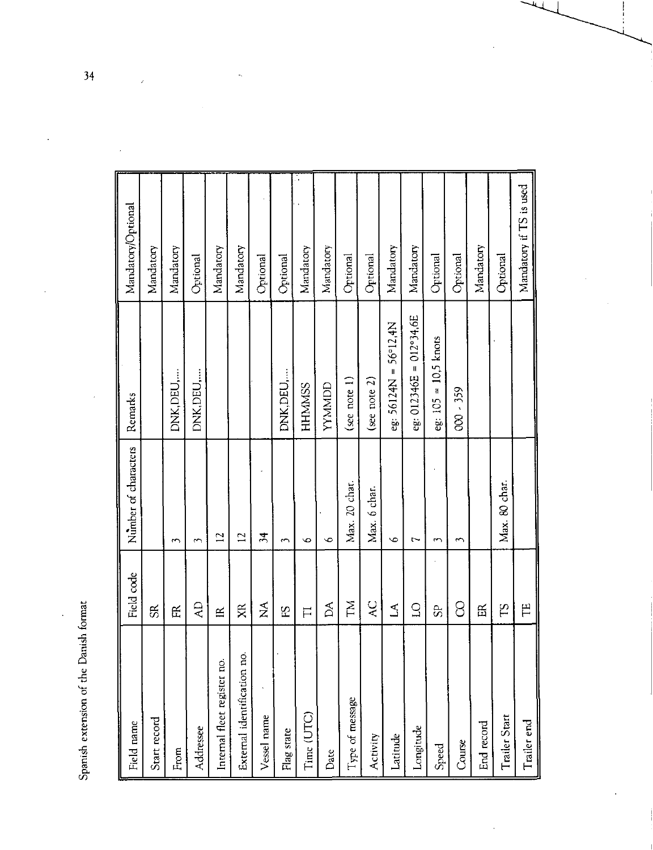Spanish extension of the Danish format

| and the context of the context of the context of the context of the context of the context of the context of the context of the context of the context of the context of the context of the context of the context of the cont<br>Field name | Field code           | Number of characters | Remarks                          | Mandatory/Optional      |
|----------------------------------------------------------------------------------------------------------------------------------------------------------------------------------------------------------------------------------------------|----------------------|----------------------|----------------------------------|-------------------------|
| Start record                                                                                                                                                                                                                                 | $\mathfrak{g}$       |                      |                                  | Mandatory               |
| From                                                                                                                                                                                                                                         | 氏                    | ξ                    | DNK,DEU,                         | Mandatory               |
| Addressee                                                                                                                                                                                                                                    | $\overline{A}$       | 3                    | DNK,DEU,                         | Optional                |
| Internal fleet register no.                                                                                                                                                                                                                  | $\mathbb{R}$         | $\overline{1}$       |                                  | Mandatory               |
| External identification no.                                                                                                                                                                                                                  | XR                   | $\overline{1}$       |                                  | Mandatory               |
| Vessel name                                                                                                                                                                                                                                  | $\tilde{\mathsf{z}}$ | $\frac{34}{5}$       |                                  | Optional                |
| Flag state                                                                                                                                                                                                                                   | 5E                   | 3                    | DNK, DEU,                        | Optional                |
| Time (UTC)                                                                                                                                                                                                                                   | $\overline{\Pi}$     | $\circ$              | <b>HHMMSS</b>                    | Mandatory               |
| Date                                                                                                                                                                                                                                         | Å                    | $\circ$              | <b>UUNINAL</b>                   | Mandatory               |
| Type of message                                                                                                                                                                                                                              | ΣÃ                   | Max. 20 char.        | (see note 1)                     | Optional                |
| Activity                                                                                                                                                                                                                                     | $\overline{C}$       | Max. 6 char.         | (see note 2)                     | Optional                |
| Latitude                                                                                                                                                                                                                                     | Z                    | $\bullet$            | 56°12,4N<br>$eg: 56124N =$       | Mandatory               |
| Longitude                                                                                                                                                                                                                                    | Q                    | J                    | eg: $012346E = 012^{\circ}34.6E$ | Mandatory               |
| Speed                                                                                                                                                                                                                                        | $\infty$             | 3                    | eg: $105 = 10,5$ knots           | Optional                |
| Course                                                                                                                                                                                                                                       | 8                    | $\overline{ }$       | 000 - 359                        | Optional                |
| End record                                                                                                                                                                                                                                   | 臣                    |                      |                                  | Mandatory               |
| Trailer Start                                                                                                                                                                                                                                | SJ                   | Max. 80 char.        |                                  | Optional                |
| Trailer end                                                                                                                                                                                                                                  | Ë                    |                      |                                  | Mandatory if TS is used |

l,

 $\overline{34}$